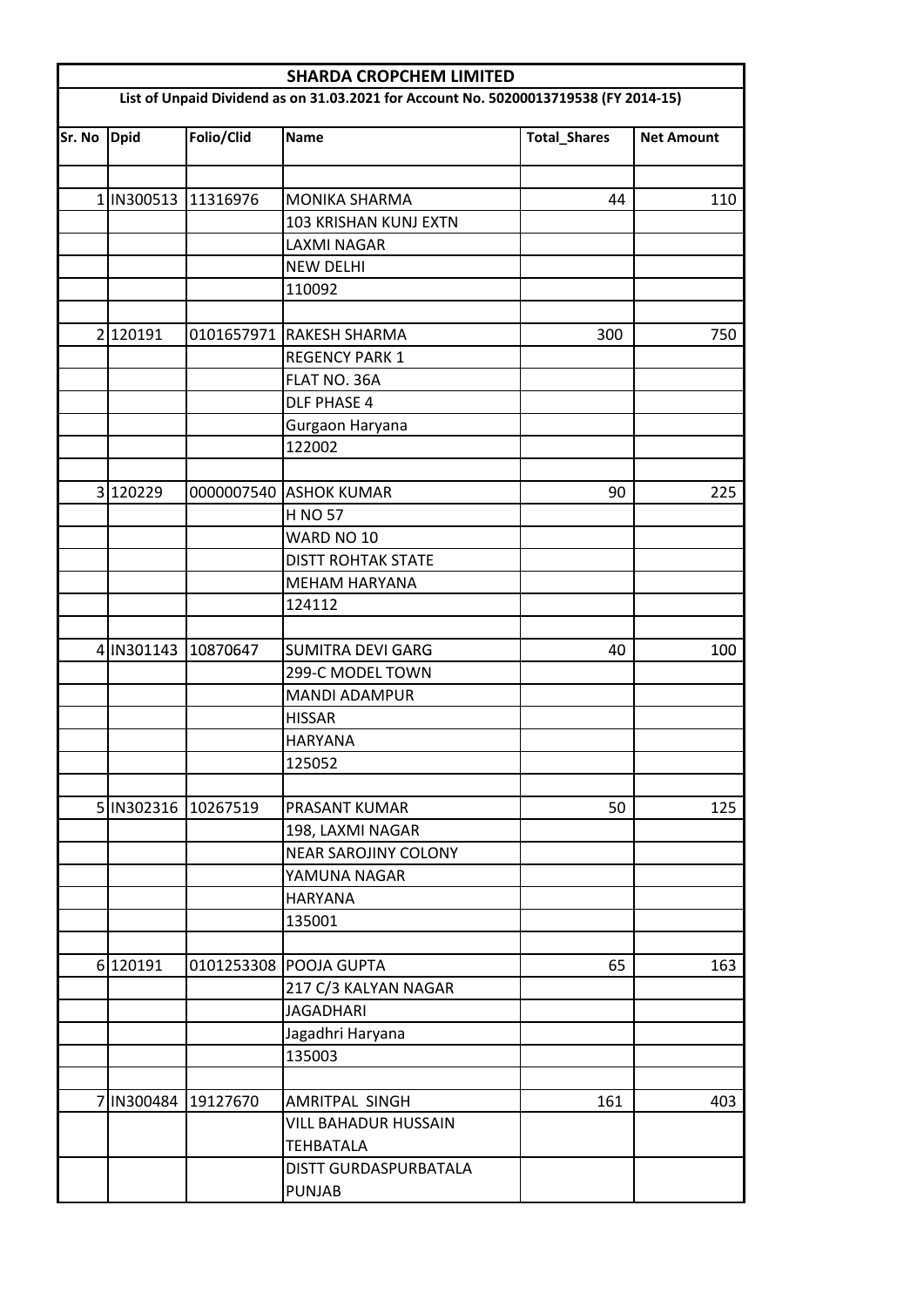|                                                                                      | <b>SHARDA CROPCHEM LIMITED</b> |                     |                             |                     |                   |  |  |  |
|--------------------------------------------------------------------------------------|--------------------------------|---------------------|-----------------------------|---------------------|-------------------|--|--|--|
| List of Unpaid Dividend as on 31.03.2021 for Account No. 50200013719538 (FY 2014-15) |                                |                     |                             |                     |                   |  |  |  |
| Sr. No                                                                               | <b>Dpid</b>                    | Folio/Clid          | <b>Name</b>                 | <b>Total_Shares</b> | <b>Net Amount</b> |  |  |  |
|                                                                                      |                                |                     |                             |                     |                   |  |  |  |
|                                                                                      |                                | 1 IN300513 11316976 | <b>MONIKA SHARMA</b>        | 44                  | 110               |  |  |  |
|                                                                                      |                                |                     | 103 KRISHAN KUNJ EXTN       |                     |                   |  |  |  |
|                                                                                      |                                |                     | <b>LAXMI NAGAR</b>          |                     |                   |  |  |  |
|                                                                                      |                                |                     | <b>NEW DELHI</b>            |                     |                   |  |  |  |
|                                                                                      |                                |                     | 110092                      |                     |                   |  |  |  |
|                                                                                      | 2 120191                       |                     | 0101657971 RAKESH SHARMA    | 300                 | 750               |  |  |  |
|                                                                                      |                                |                     | <b>REGENCY PARK 1</b>       |                     |                   |  |  |  |
|                                                                                      |                                |                     | FLAT NO. 36A                |                     |                   |  |  |  |
|                                                                                      |                                |                     | <b>DLF PHASE 4</b>          |                     |                   |  |  |  |
|                                                                                      |                                |                     | Gurgaon Haryana             |                     |                   |  |  |  |
|                                                                                      |                                |                     | 122002                      |                     |                   |  |  |  |
|                                                                                      |                                |                     |                             |                     |                   |  |  |  |
|                                                                                      | 3 120229                       |                     | 0000007540 ASHOK KUMAR      | 90                  | 225               |  |  |  |
|                                                                                      |                                |                     | <b>H NO 57</b>              |                     |                   |  |  |  |
|                                                                                      |                                |                     | WARD NO 10                  |                     |                   |  |  |  |
|                                                                                      |                                |                     | <b>DISTT ROHTAK STATE</b>   |                     |                   |  |  |  |
|                                                                                      |                                |                     | <b>MEHAM HARYANA</b>        |                     |                   |  |  |  |
|                                                                                      |                                |                     | 124112                      |                     |                   |  |  |  |
|                                                                                      | 4 IN301143                     | 10870647            | <b>SUMITRA DEVI GARG</b>    | 40                  | 100               |  |  |  |
|                                                                                      |                                |                     | 299-C MODEL TOWN            |                     |                   |  |  |  |
|                                                                                      |                                |                     | <b>MANDI ADAMPUR</b>        |                     |                   |  |  |  |
|                                                                                      |                                |                     | <b>HISSAR</b>               |                     |                   |  |  |  |
|                                                                                      |                                |                     | <b>HARYANA</b>              |                     |                   |  |  |  |
|                                                                                      |                                |                     | 125052                      |                     |                   |  |  |  |
|                                                                                      |                                |                     |                             |                     |                   |  |  |  |
|                                                                                      |                                | 5 IN302316 10267519 | PRASANT KUMAR               | 50                  | 125               |  |  |  |
|                                                                                      |                                |                     | 198, LAXMI NAGAR            |                     |                   |  |  |  |
|                                                                                      |                                |                     | <b>NEAR SAROJINY COLONY</b> |                     |                   |  |  |  |
|                                                                                      |                                |                     | YAMUNA NAGAR                |                     |                   |  |  |  |
|                                                                                      |                                |                     | <b>HARYANA</b>              |                     |                   |  |  |  |
|                                                                                      |                                |                     | 135001                      |                     |                   |  |  |  |
|                                                                                      |                                |                     |                             |                     |                   |  |  |  |
|                                                                                      | 6 120191                       |                     | 0101253308 POOJA GUPTA      | 65                  | 163               |  |  |  |
|                                                                                      |                                |                     | 217 C/3 KALYAN NAGAR        |                     |                   |  |  |  |
|                                                                                      |                                |                     | <b>JAGADHARI</b>            |                     |                   |  |  |  |
|                                                                                      |                                |                     | Jagadhri Haryana            |                     |                   |  |  |  |
|                                                                                      |                                |                     | 135003                      |                     |                   |  |  |  |
|                                                                                      |                                |                     |                             |                     |                   |  |  |  |
|                                                                                      |                                | 7 IN300484 19127670 | <b>AMRITPAL SINGH</b>       | 161                 | 403               |  |  |  |
|                                                                                      |                                |                     | VILL BAHADUR HUSSAIN        |                     |                   |  |  |  |
|                                                                                      |                                |                     | TEHBATALA                   |                     |                   |  |  |  |
|                                                                                      |                                |                     | DISTT GURDASPURBATALA       |                     |                   |  |  |  |
|                                                                                      |                                |                     | <b>PUNJAB</b>               |                     |                   |  |  |  |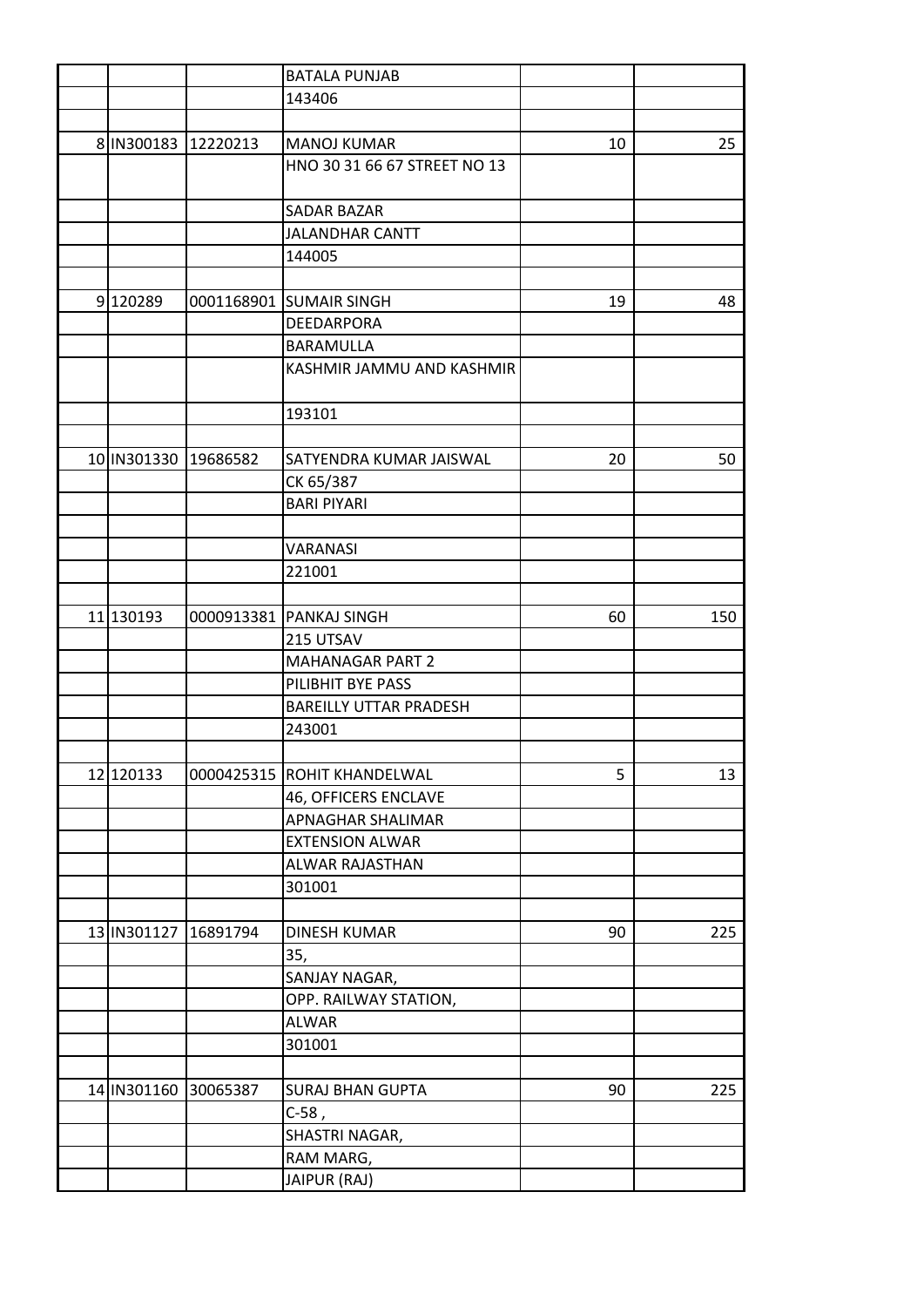|             |          | <b>BATALA PUNJAB</b>          |    |     |
|-------------|----------|-------------------------------|----|-----|
|             |          | 143406                        |    |     |
|             |          |                               |    |     |
| 8 IN300183  | 12220213 | <b>MANOJ KUMAR</b>            | 10 | 25  |
|             |          | HNO 30 31 66 67 STREET NO 13  |    |     |
|             |          |                               |    |     |
|             |          | <b>SADAR BAZAR</b>            |    |     |
|             |          | <b>JALANDHAR CANTT</b>        |    |     |
|             |          | 144005                        |    |     |
|             |          |                               |    |     |
| 9120289     |          | 0001168901 SUMAIR SINGH       | 19 | 48  |
|             |          | DEEDARPORA                    |    |     |
|             |          | <b>BARAMULLA</b>              |    |     |
|             |          | KASHMIR JAMMU AND KASHMIR     |    |     |
|             |          |                               |    |     |
|             |          | 193101                        |    |     |
|             |          |                               |    |     |
| 10 IN301330 | 19686582 | SATYENDRA KUMAR JAISWAL       | 20 | 50  |
|             |          | CK 65/387                     |    |     |
|             |          | <b>BARI PIYARI</b>            |    |     |
|             |          |                               |    |     |
|             |          | VARANASI                      |    |     |
|             |          | 221001                        |    |     |
|             |          |                               |    |     |
| 11 130193   |          | 0000913381   PANKAJ SINGH     | 60 | 150 |
|             |          | 215 UTSAV                     |    |     |
|             |          | <b>MAHANAGAR PART 2</b>       |    |     |
|             |          | PILIBHIT BYE PASS             |    |     |
|             |          | <b>BAREILLY UTTAR PRADESH</b> |    |     |
|             |          | 243001                        |    |     |
|             |          |                               |    |     |
| 12 120133   |          | 0000425315 ROHIT KHANDELWAL   | 5  | 13  |
|             |          | 46, OFFICERS ENCLAVE          |    |     |
|             |          | APNAGHAR SHALIMAR             |    |     |
|             |          | <b>EXTENSION ALWAR</b>        |    |     |
|             |          | ALWAR RAJASTHAN               |    |     |
|             |          | 301001                        |    |     |
|             |          |                               |    |     |
| 13 IN301127 | 16891794 | <b>DINESH KUMAR</b>           | 90 | 225 |
|             |          | 35,                           |    |     |
|             |          | SANJAY NAGAR,                 |    |     |
|             |          | OPP. RAILWAY STATION,         |    |     |
|             |          | <b>ALWAR</b>                  |    |     |
|             |          | 301001                        |    |     |
|             |          |                               |    |     |
| 14 IN301160 | 30065387 | <b>SURAJ BHAN GUPTA</b>       | 90 | 225 |
|             |          | $C-58,$                       |    |     |
|             |          | SHASTRI NAGAR,                |    |     |
|             |          | RAM MARG,                     |    |     |
|             |          | JAIPUR (RAJ)                  |    |     |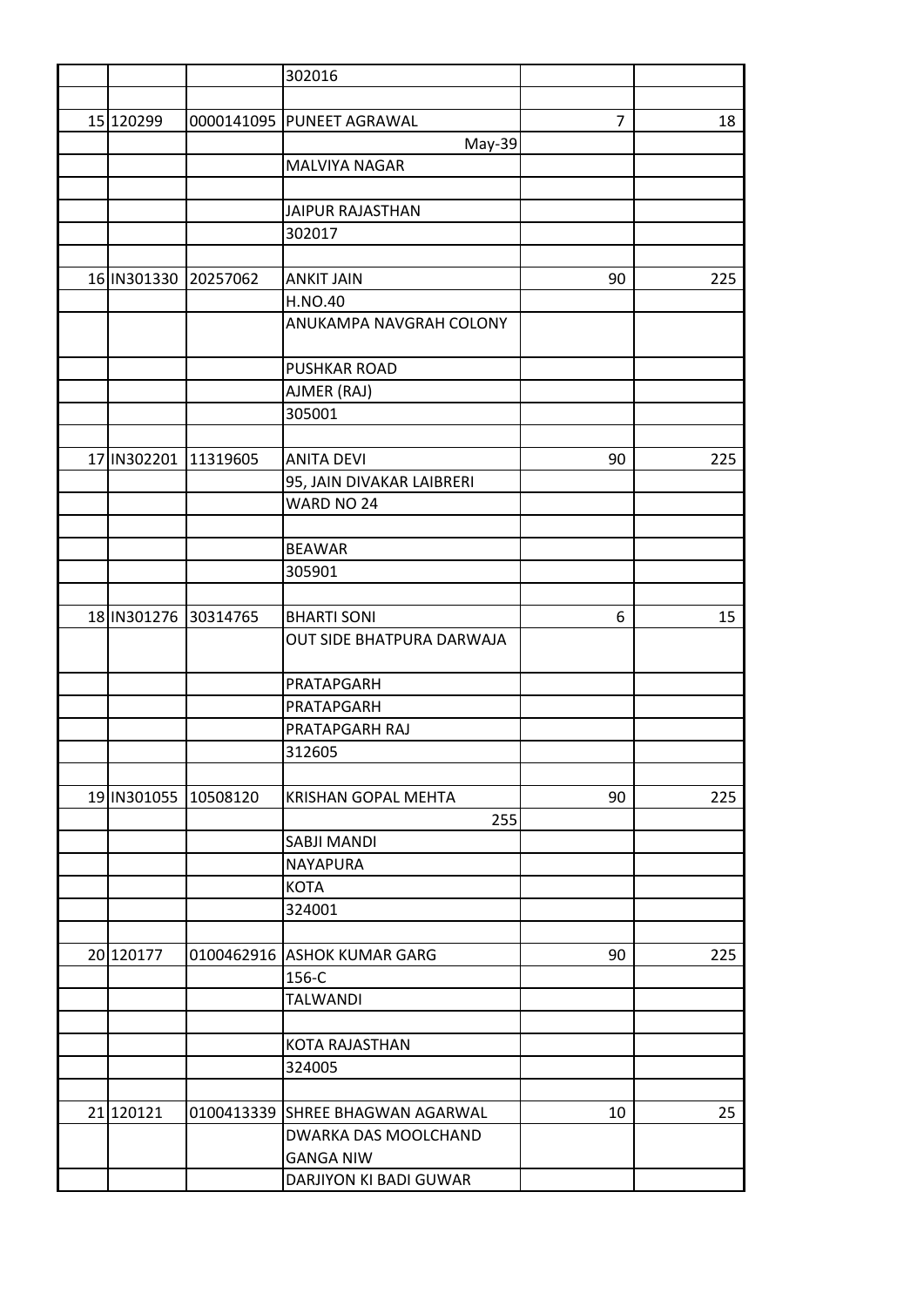|                      |                      | 302016                           |    |                 |
|----------------------|----------------------|----------------------------------|----|-----------------|
|                      |                      |                                  |    |                 |
| 15 120299            |                      | 0000141095 PUNEET AGRAWAL        | 7  | 18              |
|                      |                      | May-39                           |    |                 |
|                      |                      | MALVIYA NAGAR                    |    |                 |
|                      |                      |                                  |    |                 |
|                      |                      | <b>JAIPUR RAJASTHAN</b>          |    |                 |
|                      |                      | 302017                           |    |                 |
|                      |                      |                                  |    |                 |
| 16 IN301330 20257062 |                      | <b>ANKIT JAIN</b>                | 90 | 225             |
|                      |                      | <b>H.NO.40</b>                   |    |                 |
|                      |                      | ANUKAMPA NAVGRAH COLONY          |    |                 |
|                      |                      | <b>PUSHKAR ROAD</b>              |    |                 |
|                      |                      | AJMER (RAJ)                      |    |                 |
|                      |                      | 305001                           |    |                 |
|                      |                      |                                  |    |                 |
| 17 IN302201 11319605 |                      | <b>ANITA DEVI</b>                | 90 | 225             |
|                      |                      | 95, JAIN DIVAKAR LAIBRERI        |    |                 |
|                      |                      | WARD NO 24                       |    |                 |
|                      |                      |                                  |    |                 |
|                      |                      | <b>BEAWAR</b>                    |    |                 |
|                      |                      | 305901                           |    |                 |
|                      |                      |                                  |    |                 |
| 18 IN301276 30314765 |                      | <b>BHARTI SONI</b>               | 6  | 15 <sub>1</sub> |
|                      |                      | OUT SIDE BHATPURA DARWAJA        |    |                 |
|                      |                      |                                  |    |                 |
|                      |                      | PRATAPGARH                       |    |                 |
|                      |                      | PRATAPGARH                       |    |                 |
|                      |                      | PRATAPGARH RAJ                   |    |                 |
|                      |                      | 312605                           |    |                 |
|                      |                      |                                  |    |                 |
|                      | 19 IN301055 10508120 | <b>KRISHAN GOPAL MEHTA</b>       | 90 | 225             |
|                      |                      | 255                              |    |                 |
|                      |                      | <b>SABJI MANDI</b>               |    |                 |
|                      |                      | NAYAPURA                         |    |                 |
|                      |                      | <b>KOTA</b>                      |    |                 |
|                      |                      | 324001                           |    |                 |
|                      |                      |                                  |    |                 |
| 20 120177            |                      | 0100462916 ASHOK KUMAR GARG      | 90 | 225             |
|                      |                      | 156-C                            |    |                 |
|                      |                      | <b>TALWANDI</b>                  |    |                 |
|                      |                      |                                  |    |                 |
|                      |                      | <b>KOTA RAJASTHAN</b>            |    |                 |
|                      |                      | 324005                           |    |                 |
|                      |                      |                                  |    |                 |
| 21 120121            |                      | 0100413339 SHREE BHAGWAN AGARWAL | 10 | 25              |
|                      |                      | DWARKA DAS MOOLCHAND             |    |                 |
|                      |                      | <b>GANGA NIW</b>                 |    |                 |
|                      |                      | DARJIYON KI BADI GUWAR           |    |                 |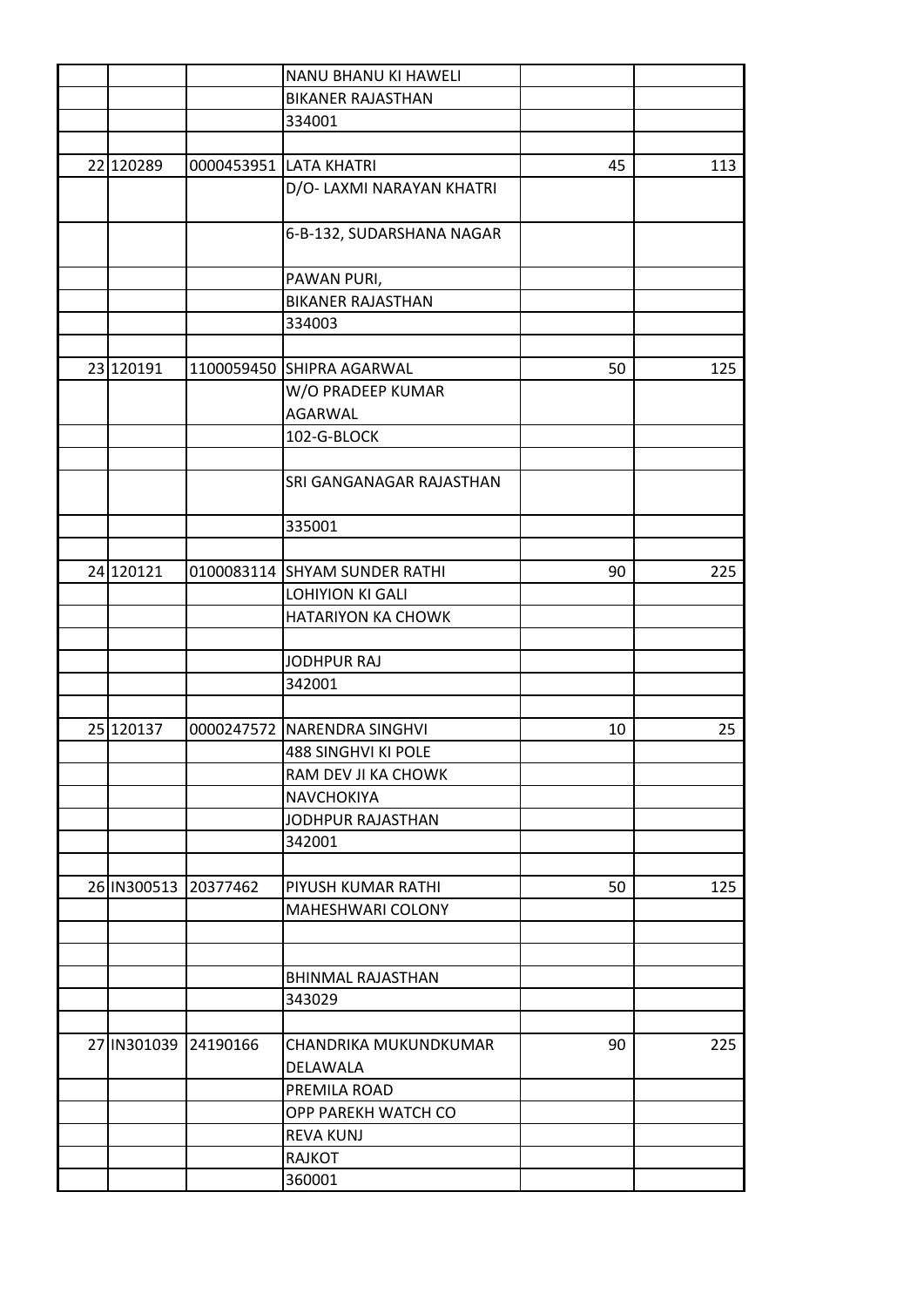|                      | NANU BHANU KI HAWELI          |    |     |
|----------------------|-------------------------------|----|-----|
|                      | <b>BIKANER RAJASTHAN</b>      |    |     |
|                      | 334001                        |    |     |
|                      |                               |    |     |
| 22 120289            | 0000453951 LATA KHATRI        | 45 | 113 |
|                      | D/O- LAXMI NARAYAN KHATRI     |    |     |
|                      |                               |    |     |
|                      | 6-B-132, SUDARSHANA NAGAR     |    |     |
|                      |                               |    |     |
|                      | PAWAN PURI,                   |    |     |
|                      | <b>BIKANER RAJASTHAN</b>      |    |     |
|                      | 334003                        |    |     |
|                      |                               |    |     |
| 23 120191            | 1100059450 SHIPRA AGARWAL     | 50 | 125 |
|                      | W/O PRADEEP KUMAR             |    |     |
|                      | <b>AGARWAL</b>                |    |     |
|                      | 102-G-BLOCK                   |    |     |
|                      |                               |    |     |
|                      | SRI GANGANAGAR RAJASTHAN      |    |     |
|                      |                               |    |     |
|                      | 335001                        |    |     |
|                      |                               |    |     |
| 24 120121            | 0100083114 SHYAM SUNDER RATHI | 90 | 225 |
|                      | <b>LOHIYION KI GALI</b>       |    |     |
|                      | HATARIYON KA CHOWK            |    |     |
|                      |                               |    |     |
|                      | <b>JODHPUR RAJ</b>            |    |     |
|                      | 342001                        |    |     |
|                      |                               |    |     |
| 25 120137            | 0000247572 NARENDRA SINGHVI   | 10 | 25  |
|                      | 488 SINGHVI KI POLE           |    |     |
|                      | RAM DEV JI KA CHOWK           |    |     |
|                      | <b>NAVCHOKIYA</b>             |    |     |
|                      | <b>JODHPUR RAJASTHAN</b>      |    |     |
|                      | 342001                        |    |     |
|                      |                               |    |     |
| 26 IN300513 20377462 | PIYUSH KUMAR RATHI            | 50 | 125 |
|                      | <b>MAHESHWARI COLONY</b>      |    |     |
|                      |                               |    |     |
|                      |                               |    |     |
|                      | <b>BHINMAL RAJASTHAN</b>      |    |     |
|                      | 343029                        |    |     |
|                      |                               |    |     |
| 27 IN301039 24190166 | CHANDRIKA MUKUNDKUMAR         | 90 | 225 |
|                      | DELAWALA                      |    |     |
|                      | PREMILA ROAD                  |    |     |
|                      | OPP PAREKH WATCH CO           |    |     |
|                      | <b>REVA KUNJ</b>              |    |     |
|                      | <b>RAJKOT</b>                 |    |     |
|                      | 360001                        |    |     |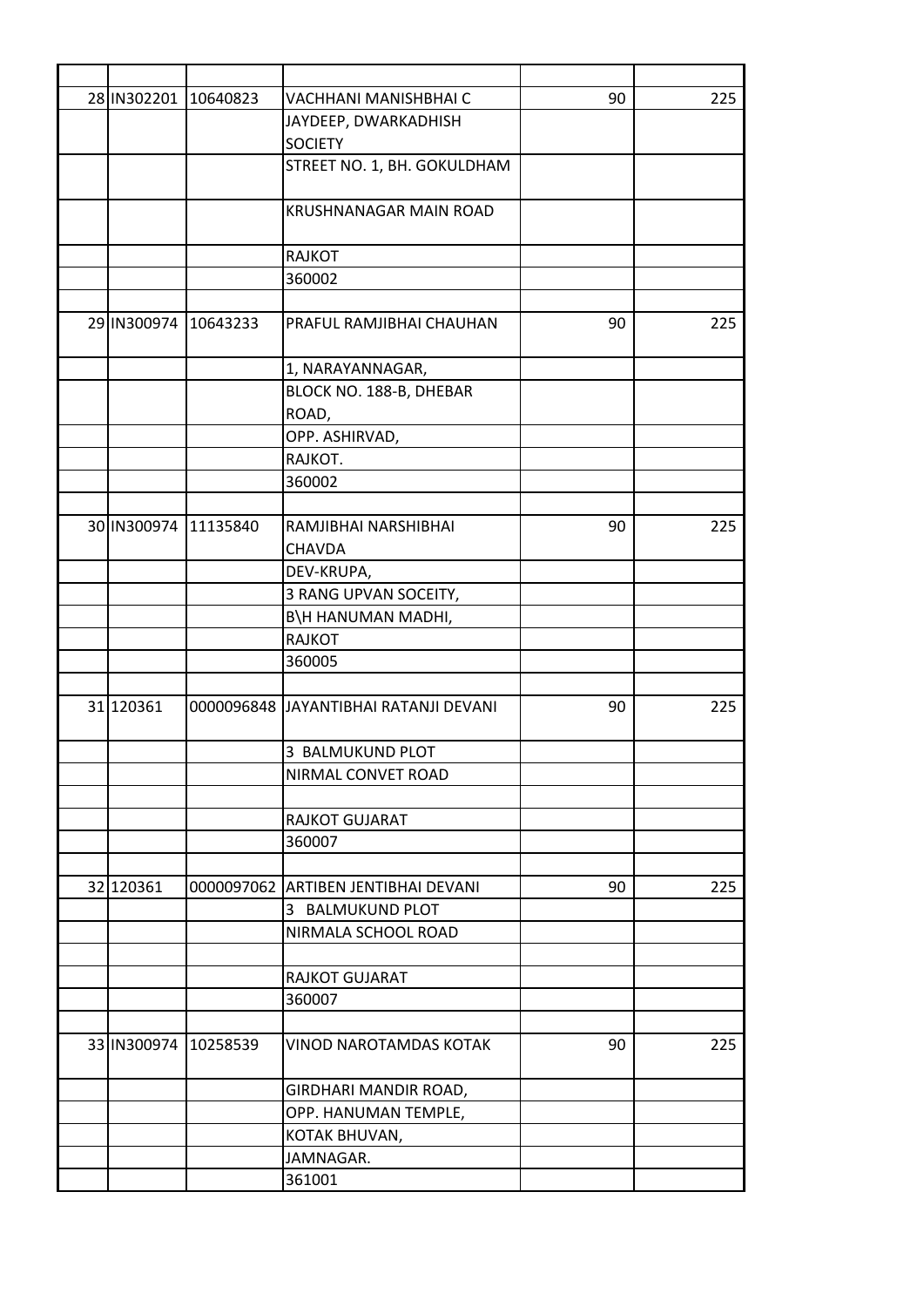|                      | 28 IN 302201 10640823 | VACHHANI MANISHBHAI C                  | 90 | 225 |
|----------------------|-----------------------|----------------------------------------|----|-----|
|                      |                       | JAYDEEP, DWARKADHISH                   |    |     |
|                      |                       | <b>SOCIETY</b>                         |    |     |
|                      |                       | STREET NO. 1, BH. GOKULDHAM            |    |     |
|                      |                       |                                        |    |     |
|                      |                       | <b>KRUSHNANAGAR MAIN ROAD</b>          |    |     |
|                      |                       |                                        |    |     |
|                      |                       | <b>RAJKOT</b>                          |    |     |
|                      |                       | 360002                                 |    |     |
|                      |                       |                                        |    |     |
|                      | 29 IN300974 10643233  | PRAFUL RAMJIBHAI CHAUHAN               | 90 | 225 |
|                      |                       | 1, NARAYANNAGAR,                       |    |     |
|                      |                       | BLOCK NO. 188-B, DHEBAR                |    |     |
|                      |                       | ROAD,                                  |    |     |
|                      |                       | OPP. ASHIRVAD,                         |    |     |
|                      |                       | RAJKOT.                                |    |     |
|                      |                       | 360002                                 |    |     |
|                      |                       |                                        |    |     |
|                      | 30 IN300974 11135840  | RAMJIBHAI NARSHIBHAI                   | 90 | 225 |
|                      |                       | <b>CHAVDA</b>                          |    |     |
|                      |                       | DEV-KRUPA,                             |    |     |
|                      |                       | 3 RANG UPVAN SOCEITY,                  |    |     |
|                      |                       | B\H HANUMAN MADHI,                     |    |     |
|                      |                       | <b>RAJKOT</b>                          |    |     |
|                      |                       | 360005                                 |    |     |
|                      |                       |                                        |    |     |
| 31 120361            |                       | 0000096848 JJAYANTIBHAI RATANJI DEVANI | 90 | 225 |
|                      |                       | 3 BALMUKUND PLOT                       |    |     |
|                      |                       | NIRMAL CONVET ROAD                     |    |     |
|                      |                       |                                        |    |     |
|                      |                       | RAJKOT GUJARAT                         |    |     |
|                      |                       | 360007                                 |    |     |
|                      |                       |                                        |    |     |
| 32 120361            |                       | 0000097062 ARTIBEN JENTIBHAI DEVANI    | 90 | 225 |
|                      |                       | 3 BALMUKUND PLOT                       |    |     |
|                      |                       | NIRMALA SCHOOL ROAD                    |    |     |
|                      |                       |                                        |    |     |
|                      |                       | RAJKOT GUJARAT                         |    |     |
|                      |                       | 360007                                 |    |     |
|                      |                       |                                        |    |     |
| 33 IN300974 10258539 |                       | <b>VINOD NAROTAMDAS KOTAK</b>          | 90 | 225 |
|                      |                       | GIRDHARI MANDIR ROAD,                  |    |     |
|                      |                       | OPP. HANUMAN TEMPLE,                   |    |     |
|                      |                       | KOTAK BHUVAN,                          |    |     |
|                      |                       | JAMNAGAR.                              |    |     |
|                      |                       | 361001                                 |    |     |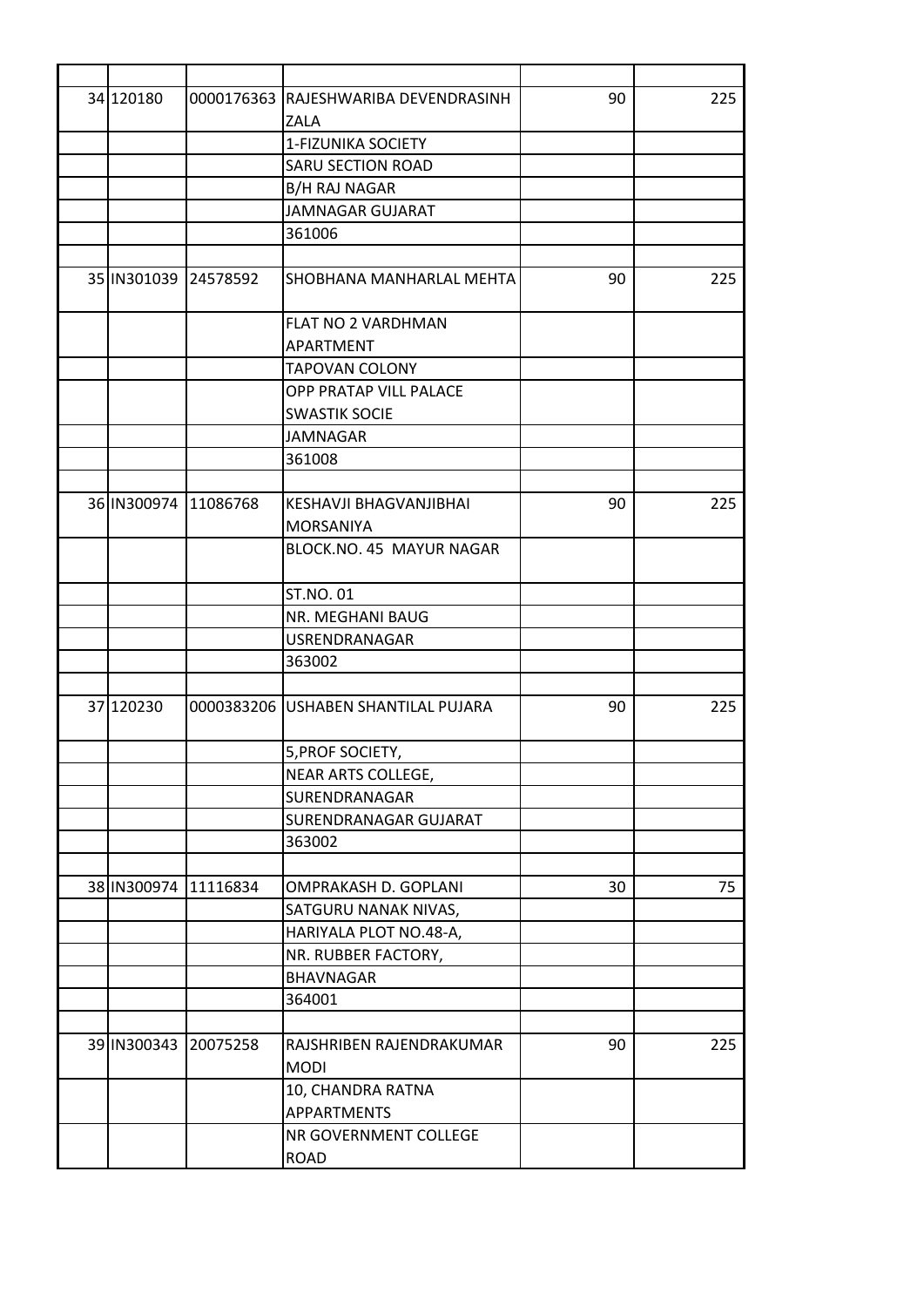| 34 120180            | 0000176363 RAJESHWARIBA DEVENDRASINH    | 90 | 225 |
|----------------------|-----------------------------------------|----|-----|
|                      | ZALA                                    |    |     |
|                      | 1-FIZUNIKA SOCIETY                      |    |     |
|                      | <b>SARU SECTION ROAD</b>                |    |     |
|                      | B/H RAJ NAGAR                           |    |     |
|                      | <b>JAMNAGAR GUJARAT</b>                 |    |     |
|                      | 361006                                  |    |     |
|                      |                                         |    |     |
| 35 IN301039 24578592 | <b>SHOBHANA MANHARLAL MEHTA</b>         | 90 | 225 |
|                      | <b>FLAT NO 2 VARDHMAN</b>               |    |     |
|                      | <b>APARTMENT</b>                        |    |     |
|                      | <b>TAPOVAN COLONY</b>                   |    |     |
|                      | OPP PRATAP VILL PALACE                  |    |     |
|                      | <b>SWASTIK SOCIE</b>                    |    |     |
|                      | <b>JAMNAGAR</b>                         |    |     |
|                      | 361008                                  |    |     |
|                      |                                         |    |     |
| 36 IN300974 11086768 | KESHAVJI BHAGVANJIBHAI                  | 90 | 225 |
|                      | <b>MORSANIYA</b>                        |    |     |
|                      | BLOCK.NO. 45 MAYUR NAGAR                |    |     |
|                      | <b>ST.NO.01</b>                         |    |     |
|                      | NR. MEGHANI BAUG                        |    |     |
|                      | USRENDRANAGAR                           |    |     |
|                      | 363002                                  |    |     |
|                      |                                         |    |     |
| 37 120230            | 0000383206 USHABEN SHANTILAL PUJARA     | 90 | 225 |
|                      | 5, PROF SOCIETY,                        |    |     |
|                      | NEAR ARTS COLLEGE,                      |    |     |
|                      | SURENDRANAGAR                           |    |     |
|                      | SURENDRANAGAR GUJARAT                   |    |     |
|                      | 363002                                  |    |     |
|                      |                                         |    |     |
| 38 IN300974 11116834 | OMPRAKASH D. GOPLANI                    | 30 | 75  |
|                      | SATGURU NANAK NIVAS,                    |    |     |
|                      | HARIYALA PLOT NO.48-A,                  |    |     |
|                      | NR. RUBBER FACTORY,                     |    |     |
|                      | <b>BHAVNAGAR</b>                        |    |     |
|                      | 364001                                  |    |     |
|                      |                                         |    |     |
| 39 IN300343 20075258 | RAJSHRIBEN RAJENDRAKUMAR<br><b>MODI</b> | 90 | 225 |
|                      | 10, CHANDRA RATNA                       |    |     |
|                      | <b>APPARTMENTS</b>                      |    |     |
|                      | NR GOVERNMENT COLLEGE                   |    |     |
|                      | <b>ROAD</b>                             |    |     |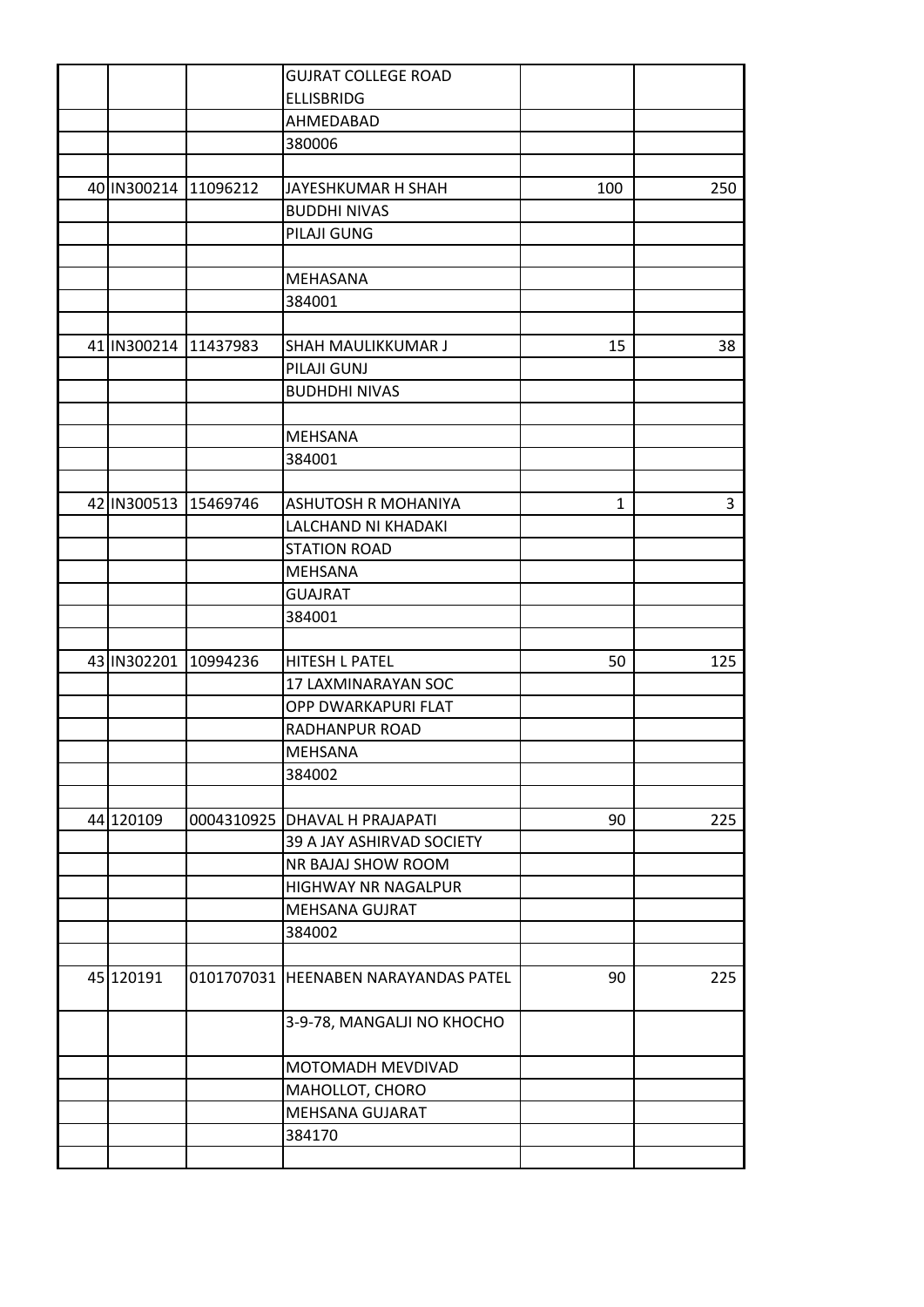|                      |                      | <b>GUJRAT COLLEGE ROAD</b>                 |     |     |
|----------------------|----------------------|--------------------------------------------|-----|-----|
|                      |                      | <b>ELLISBRIDG</b>                          |     |     |
|                      |                      | AHMEDABAD                                  |     |     |
|                      |                      | 380006                                     |     |     |
|                      |                      |                                            |     |     |
| 40 IN300214 11096212 |                      | JAYESHKUMAR H SHAH                         | 100 | 250 |
|                      |                      | <b>BUDDHI NIVAS</b>                        |     |     |
|                      |                      | PILAJI GUNG                                |     |     |
|                      |                      |                                            |     |     |
|                      |                      | MEHASANA                                   |     |     |
|                      |                      | 384001                                     |     |     |
|                      |                      |                                            |     |     |
|                      | 41 IN300214 11437983 | SHAH MAULIKKUMAR J                         | 15  | 38  |
|                      |                      | PILAJI GUNJ                                |     |     |
|                      |                      | <b>BUDHDHI NIVAS</b>                       |     |     |
|                      |                      |                                            |     |     |
|                      |                      | <b>MEHSANA</b>                             |     |     |
|                      |                      | 384001                                     |     |     |
|                      |                      |                                            |     |     |
|                      | 42 IN300513 15469746 | <b>ASHUTOSH R MOHANIYA</b>                 | 1   | 3   |
|                      |                      | LALCHAND NI KHADAKI                        |     |     |
|                      |                      | <b>STATION ROAD</b>                        |     |     |
|                      |                      | <b>MEHSANA</b>                             |     |     |
|                      |                      | <b>GUAJRAT</b>                             |     |     |
|                      |                      | 384001                                     |     |     |
|                      |                      |                                            |     |     |
| 43 IN302201          | 10994236             | <b>HITESH L PATEL</b>                      | 50  | 125 |
|                      |                      |                                            |     |     |
|                      |                      | 17 LAXMINARAYAN SOC<br>OPP DWARKAPURI FLAT |     |     |
|                      |                      |                                            |     |     |
|                      |                      | RADHANPUR ROAD                             |     |     |
|                      |                      | <b>MEHSANA</b>                             |     |     |
|                      |                      | 384002                                     |     |     |
|                      |                      |                                            |     |     |
| 44 120109            |                      | 0004310925 DHAVAL H PRAJAPATI              | 90  | 225 |
|                      |                      | 39 A JAY ASHIRVAD SOCIETY                  |     |     |
|                      |                      | NR BAJAJ SHOW ROOM                         |     |     |
|                      |                      | <b>HIGHWAY NR NAGALPUR</b>                 |     |     |
|                      |                      | MEHSANA GUJRAT                             |     |     |
|                      |                      | 384002                                     |     |     |
|                      |                      |                                            |     |     |
| 45 120191            |                      | 0101707031 HEENABEN NARAYANDAS PATEL       | 90  | 225 |
|                      |                      |                                            |     |     |
|                      |                      | 3-9-78, MANGALJI NO KHOCHO                 |     |     |
|                      |                      |                                            |     |     |
|                      |                      | MOTOMADH MEVDIVAD                          |     |     |
|                      |                      | MAHOLLOT, CHORO                            |     |     |
|                      |                      | MEHSANA GUJARAT                            |     |     |
|                      |                      | 384170                                     |     |     |
|                      |                      |                                            |     |     |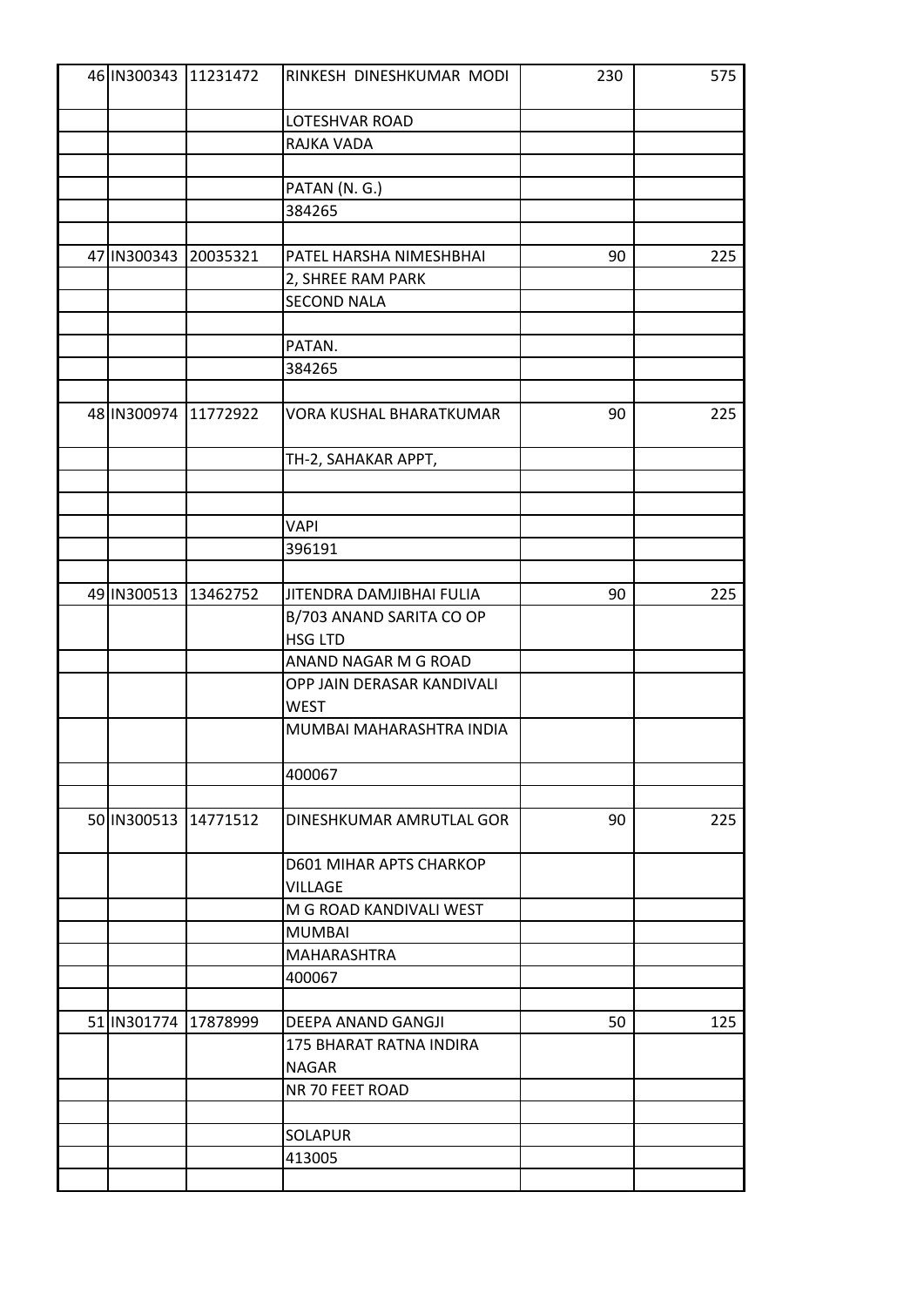|                      | 46 IN300343 11231472 | RINKESH DINESHKUMAR MODI       | 230 | 575 |
|----------------------|----------------------|--------------------------------|-----|-----|
|                      |                      | <b>LOTESHVAR ROAD</b>          |     |     |
|                      |                      | RAJKA VADA                     |     |     |
|                      |                      |                                |     |     |
|                      |                      | PATAN (N. G.)                  |     |     |
|                      |                      | 384265                         |     |     |
|                      |                      |                                |     |     |
| 47 IN300343 20035321 |                      | PATEL HARSHA NIMESHBHAI        | 90  | 225 |
|                      |                      |                                |     |     |
|                      |                      | 2, SHREE RAM PARK              |     |     |
|                      |                      | <b>SECOND NALA</b>             |     |     |
|                      |                      |                                |     |     |
|                      |                      | PATAN.                         |     |     |
|                      |                      | 384265                         |     |     |
|                      | 48 IN300974 11772922 | VORA KUSHAL BHARATKUMAR        | 90  | 225 |
|                      |                      | TH-2, SAHAKAR APPT,            |     |     |
|                      |                      |                                |     |     |
|                      |                      |                                |     |     |
|                      |                      | <b>VAPI</b>                    |     |     |
|                      |                      | 396191                         |     |     |
|                      |                      |                                |     |     |
| 49 IN300513 13462752 |                      | JITENDRA DAMJIBHAI FULIA       | 90  | 225 |
|                      |                      | B/703 ANAND SARITA CO OP       |     |     |
|                      |                      | <b>HSG LTD</b>                 |     |     |
|                      |                      | ANAND NAGAR M G ROAD           |     |     |
|                      |                      | OPP JAIN DERASAR KANDIVALI     |     |     |
|                      |                      | <b>WEST</b>                    |     |     |
|                      |                      | MUMBAI MAHARASHTRA INDIA       |     |     |
|                      |                      |                                |     |     |
|                      |                      | 400067                         |     |     |
|                      |                      |                                |     |     |
|                      | 50 IN300513 14771512 | DINESHKUMAR AMRUTLAL GOR       | 90  | 225 |
|                      |                      | <b>D601 MIHAR APTS CHARKOP</b> |     |     |
|                      |                      | <b>VILLAGE</b>                 |     |     |
|                      |                      | M G ROAD KANDIVALI WEST        |     |     |
|                      |                      | <b>MUMBAI</b>                  |     |     |
|                      |                      | MAHARASHTRA                    |     |     |
|                      |                      | 400067                         |     |     |
|                      |                      |                                |     |     |
| 51 IN301774 17878999 |                      | DEEPA ANAND GANGJI             | 50  | 125 |
|                      |                      | 175 BHARAT RATNA INDIRA        |     |     |
|                      |                      | <b>NAGAR</b>                   |     |     |
|                      |                      | NR 70 FEET ROAD                |     |     |
|                      |                      |                                |     |     |
|                      |                      | <b>SOLAPUR</b>                 |     |     |
|                      |                      | 413005                         |     |     |
|                      |                      |                                |     |     |
|                      |                      |                                |     |     |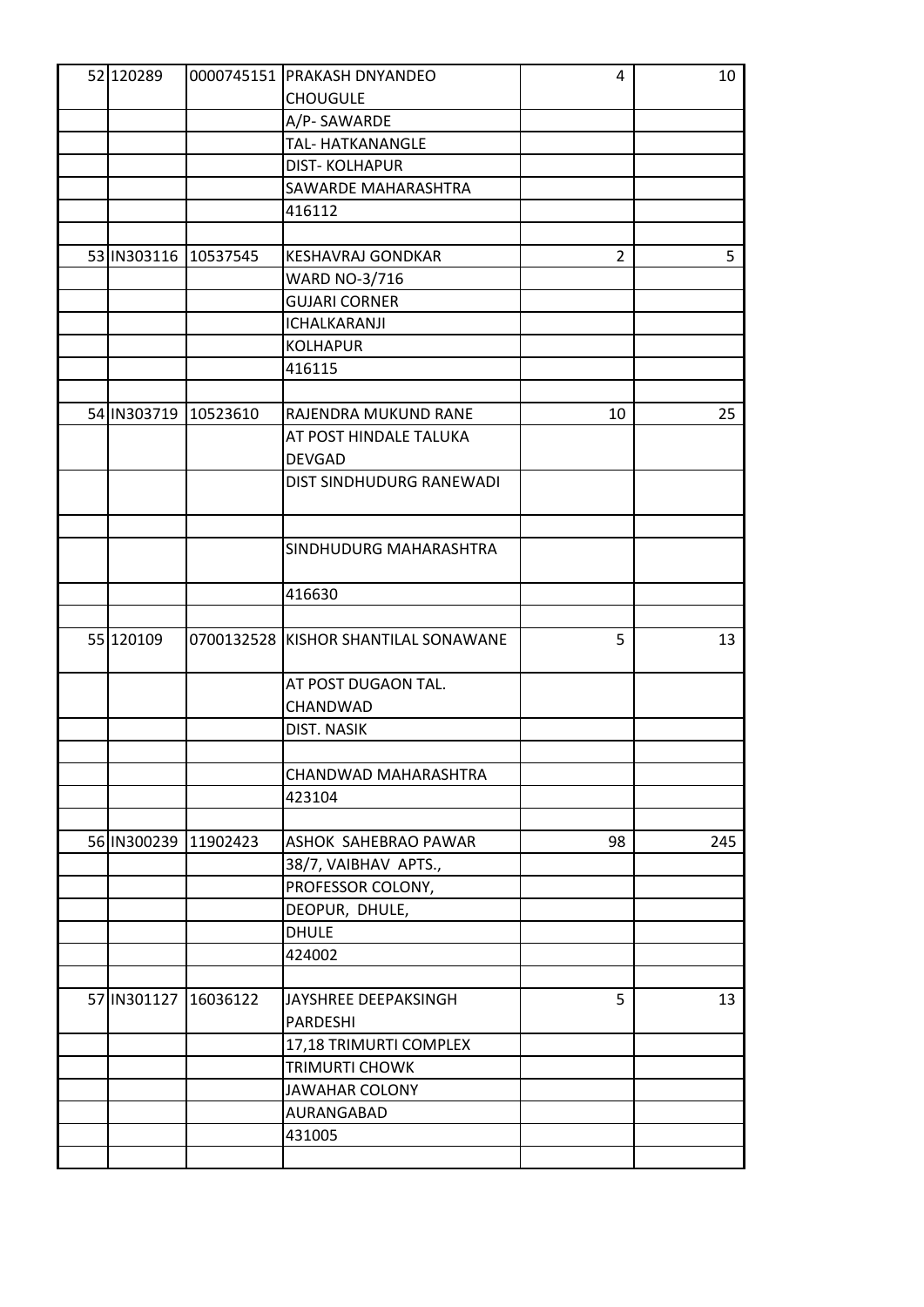| 52 120289 |                      | 0000745151 PRAKASH DNYANDEO          | 4              | 10  |
|-----------|----------------------|--------------------------------------|----------------|-----|
|           |                      | <b>CHOUGULE</b>                      |                |     |
|           |                      | A/P-SAWARDE                          |                |     |
|           |                      | TAL-HATKANANGLE                      |                |     |
|           |                      | <b>DIST-KOLHAPUR</b>                 |                |     |
|           |                      | SAWARDE MAHARASHTRA                  |                |     |
|           |                      | 416112                               |                |     |
|           |                      |                                      |                |     |
|           | 53 IN303116 10537545 | <b>KESHAVRAJ GONDKAR</b>             | $\overline{2}$ | 5   |
|           |                      | <b>WARD NO-3/716</b>                 |                |     |
|           |                      | <b>GUJARI CORNER</b>                 |                |     |
|           |                      | ICHALKARANJI                         |                |     |
|           |                      | <b>KOLHAPUR</b>                      |                |     |
|           |                      | 416115                               |                |     |
|           |                      |                                      |                |     |
|           | 54 IN303719 10523610 | RAJENDRA MUKUND RANE                 | 10             | 25  |
|           |                      | AT POST HINDALE TALUKA               |                |     |
|           |                      | <b>DEVGAD</b>                        |                |     |
|           |                      | DIST SINDHUDURG RANEWADI             |                |     |
|           |                      |                                      |                |     |
|           |                      |                                      |                |     |
|           |                      | SINDHUDURG MAHARASHTRA               |                |     |
|           |                      | 416630                               |                |     |
|           |                      |                                      |                |     |
| 55 120109 |                      | 0700132528 KISHOR SHANTILAL SONAWANE | 5              | 13  |
|           |                      | AT POST DUGAON TAL.                  |                |     |
|           |                      | CHANDWAD                             |                |     |
|           |                      | <b>DIST. NASIK</b>                   |                |     |
|           |                      |                                      |                |     |
|           |                      | CHANDWAD MAHARASHTRA                 |                |     |
|           |                      | 423104                               |                |     |
|           |                      |                                      |                |     |
|           | 56 IN300239 11902423 | ASHOK SAHEBRAO PAWAR                 | 98             | 245 |
|           |                      | 38/7, VAIBHAV APTS.,                 |                |     |
|           |                      | PROFESSOR COLONY,                    |                |     |
|           |                      | DEOPUR, DHULE,                       |                |     |
|           |                      | <b>DHULE</b>                         |                |     |
|           |                      | 424002                               |                |     |
|           |                      |                                      |                |     |
|           | 57 IN301127 16036122 | JAYSHREE DEEPAKSINGH                 | 5              | 13  |
|           |                      | PARDESHI                             |                |     |
|           |                      | 17,18 TRIMURTI COMPLEX               |                |     |
|           |                      | TRIMURTI CHOWK                       |                |     |
|           |                      | <b>JAWAHAR COLONY</b>                |                |     |
|           |                      | AURANGABAD                           |                |     |
|           |                      | 431005                               |                |     |
|           |                      |                                      |                |     |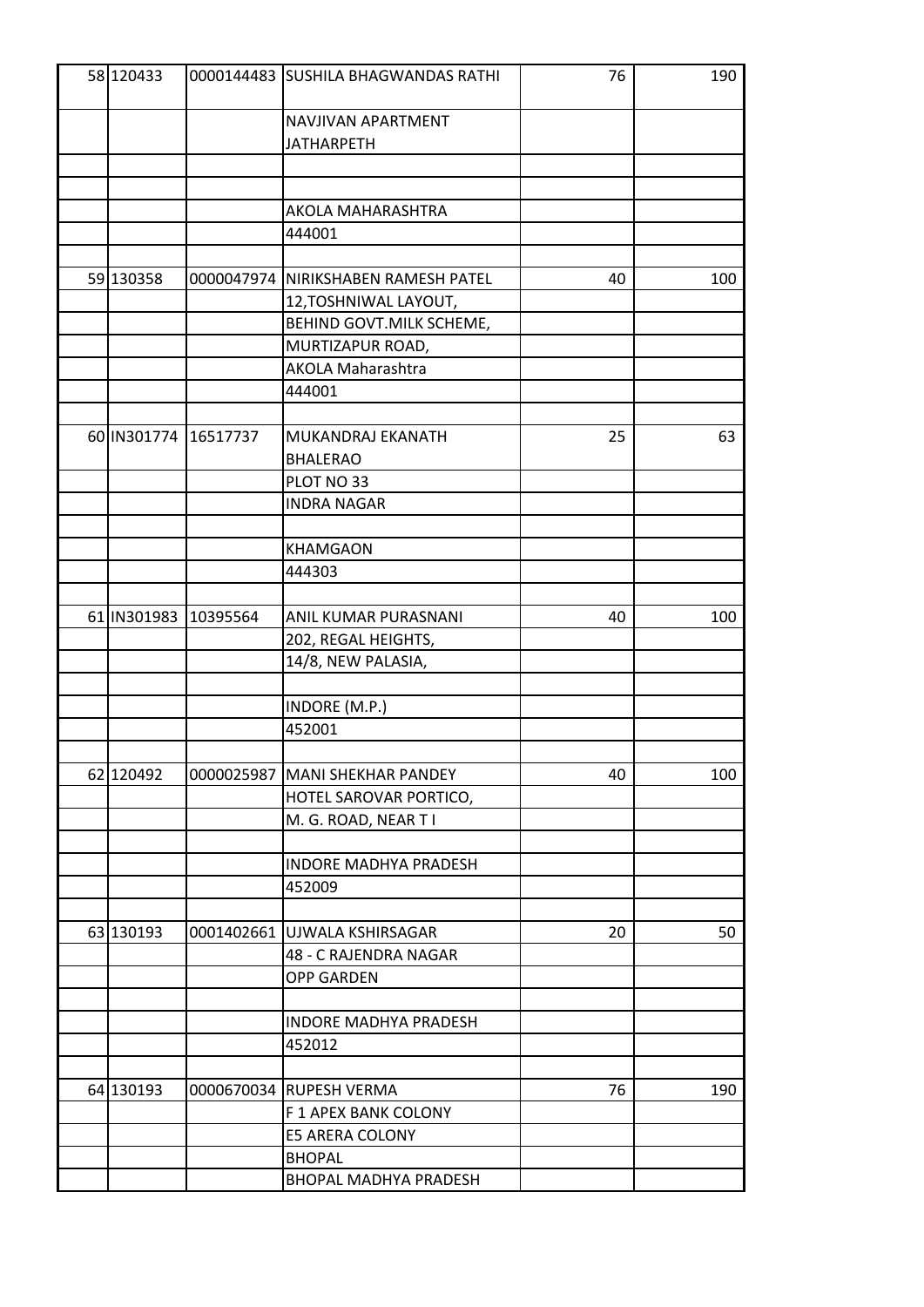| 58 120433 |                      | 0000144483 SUSHILA BHAGWANDAS RATHI  | 76 | 190 |
|-----------|----------------------|--------------------------------------|----|-----|
|           |                      | NAVJIVAN APARTMENT                   |    |     |
|           |                      | <b>JATHARPETH</b>                    |    |     |
|           |                      |                                      |    |     |
|           |                      |                                      |    |     |
|           |                      | AKOLA MAHARASHTRA                    |    |     |
|           |                      | 444001                               |    |     |
|           |                      |                                      |    |     |
| 59 130358 |                      | 0000047974  NIRIKSHABEN RAMESH PATEL | 40 | 100 |
|           |                      | 12, TOSHNIWAL LAYOUT,                |    |     |
|           |                      | BEHIND GOVT.MILK SCHEME,             |    |     |
|           |                      | MURTIZAPUR ROAD,                     |    |     |
|           |                      | <b>AKOLA Maharashtra</b>             |    |     |
|           |                      | 444001                               |    |     |
|           |                      |                                      |    |     |
|           | 60 IN301774 16517737 | MUKANDRAJ EKANATH                    | 25 | 63  |
|           |                      | <b>BHALERAO</b>                      |    |     |
|           |                      | PLOT NO 33                           |    |     |
|           |                      | <b>INDRA NAGAR</b>                   |    |     |
|           |                      |                                      |    |     |
|           |                      | <b>KHAMGAON</b>                      |    |     |
|           |                      | 444303                               |    |     |
|           |                      |                                      |    |     |
|           | 61 IN301983 10395564 | ANIL KUMAR PURASNANI                 | 40 | 100 |
|           |                      | 202, REGAL HEIGHTS,                  |    |     |
|           |                      | 14/8, NEW PALASIA,                   |    |     |
|           |                      |                                      |    |     |
|           |                      | INDORE (M.P.)                        |    |     |
|           |                      | 452001                               |    |     |
|           |                      |                                      |    |     |
| 62 120492 |                      | 0000025987 MANI SHEKHAR PANDEY       | 40 | 100 |
|           |                      | HOTEL SAROVAR PORTICO,               |    |     |
|           |                      | M. G. ROAD, NEAR T I                 |    |     |
|           |                      |                                      |    |     |
|           |                      | <b>INDORE MADHYA PRADESH</b>         |    |     |
|           |                      | 452009                               |    |     |
|           |                      |                                      |    |     |
| 63 130193 |                      | 0001402661 UJWALA KSHIRSAGAR         | 20 | 50  |
|           |                      | 48 - C RAJENDRA NAGAR                |    |     |
|           |                      | <b>OPP GARDEN</b>                    |    |     |
|           |                      |                                      |    |     |
|           |                      | <b>INDORE MADHYA PRADESH</b>         |    |     |
|           |                      | 452012                               |    |     |
|           |                      |                                      |    |     |
| 64 130193 |                      | 0000670034 RUPESH VERMA              | 76 | 190 |
|           |                      | F 1 APEX BANK COLONY                 |    |     |
|           |                      | E5 ARERA COLONY                      |    |     |
|           |                      | <b>BHOPAL</b>                        |    |     |
|           |                      | BHOPAL MADHYA PRADESH                |    |     |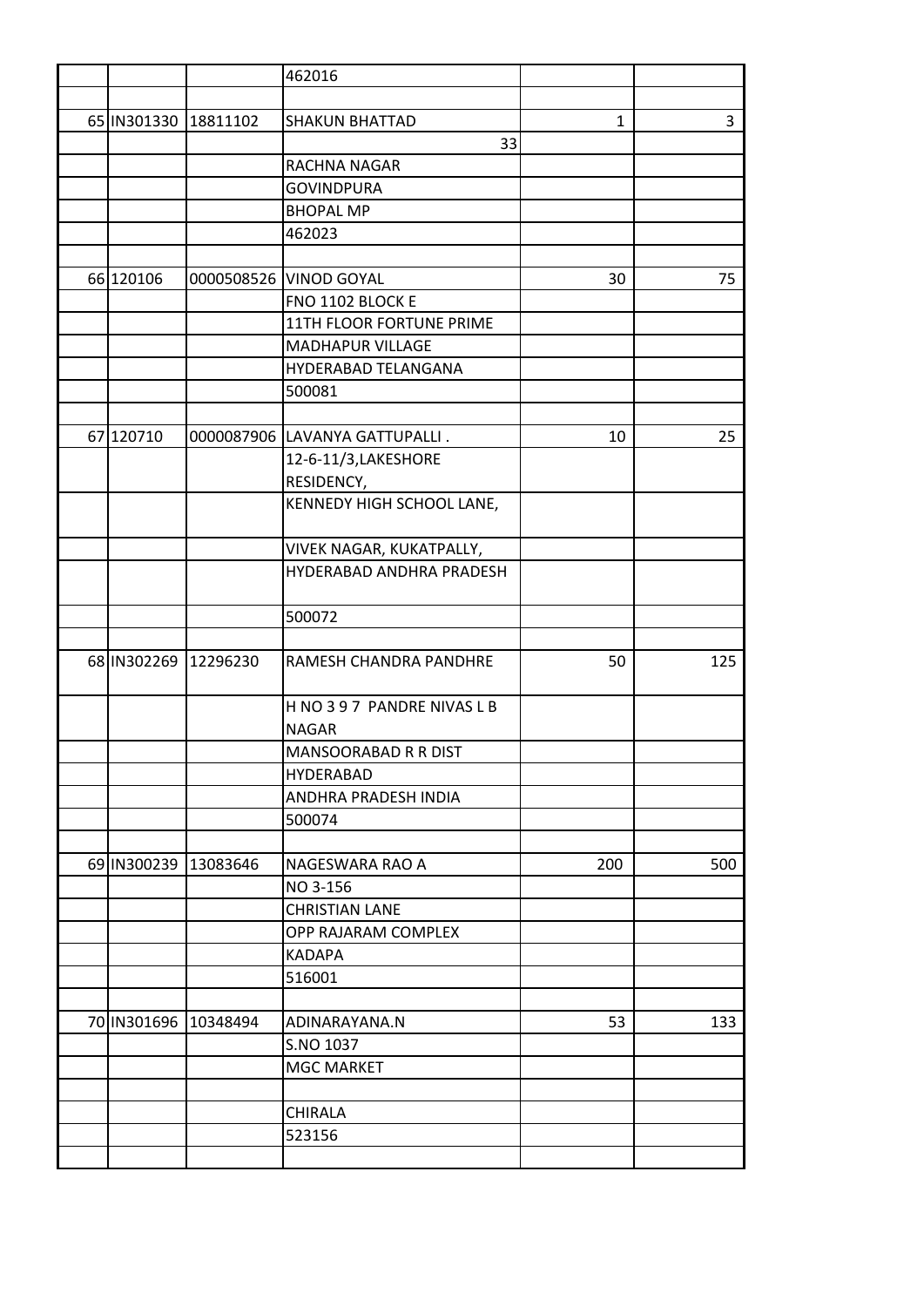|                      |                      | 462016                         |     |     |
|----------------------|----------------------|--------------------------------|-----|-----|
|                      |                      |                                |     |     |
| 65 IN301330 18811102 |                      | <b>SHAKUN BHATTAD</b>          | 1   | 3   |
|                      |                      | 33                             |     |     |
|                      |                      | RACHNA NAGAR                   |     |     |
|                      |                      | <b>GOVINDPURA</b>              |     |     |
|                      |                      | <b>BHOPAL MP</b>               |     |     |
|                      |                      | 462023                         |     |     |
|                      |                      |                                |     |     |
| 66 120106            |                      | 0000508526 VINOD GOYAL         | 30  | 75  |
|                      |                      | FNO 1102 BLOCK E               |     |     |
|                      |                      | 11TH FLOOR FORTUNE PRIME       |     |     |
|                      |                      | <b>MADHAPUR VILLAGE</b>        |     |     |
|                      |                      | HYDERABAD TELANGANA            |     |     |
|                      |                      | 500081                         |     |     |
|                      |                      |                                |     |     |
| 67 120710            |                      | 0000087906 LAVANYA GATTUPALLI. | 10  | 25  |
|                      |                      | 12-6-11/3, LAKESHORE           |     |     |
|                      |                      | RESIDENCY,                     |     |     |
|                      |                      | KENNEDY HIGH SCHOOL LANE,      |     |     |
|                      |                      |                                |     |     |
|                      |                      | VIVEK NAGAR, KUKATPALLY,       |     |     |
|                      |                      | HYDERABAD ANDHRA PRADESH       |     |     |
|                      |                      |                                |     |     |
|                      |                      | 500072                         |     |     |
|                      |                      |                                |     |     |
|                      | 68 IN302269 12296230 | RAMESH CHANDRA PANDHRE         | 50  | 125 |
|                      |                      |                                |     |     |
|                      |                      | H NO 397 PANDRE NIVAS L B      |     |     |
|                      |                      | <b>NAGAR</b>                   |     |     |
|                      |                      | MANSOORABAD R R DIST           |     |     |
|                      |                      | <b>HYDERABAD</b>               |     |     |
|                      |                      | ANDHRA PRADESH INDIA           |     |     |
|                      |                      | 500074                         |     |     |
|                      |                      |                                |     |     |
| 69 IN300239 13083646 |                      | NAGESWARA RAO A                | 200 | 500 |
|                      |                      | NO 3-156                       |     |     |
|                      |                      | <b>CHRISTIAN LANE</b>          |     |     |
|                      |                      | OPP RAJARAM COMPLEX            |     |     |
|                      |                      | KADAPA                         |     |     |
|                      |                      | 516001                         |     |     |
|                      | 70 IN301696 10348494 | ADINARAYANA.N                  | 53  | 133 |
|                      |                      | S.NO 1037                      |     |     |
|                      |                      | <b>MGC MARKET</b>              |     |     |
|                      |                      |                                |     |     |
|                      |                      | <b>CHIRALA</b>                 |     |     |
|                      |                      | 523156                         |     |     |
|                      |                      |                                |     |     |
|                      |                      |                                |     |     |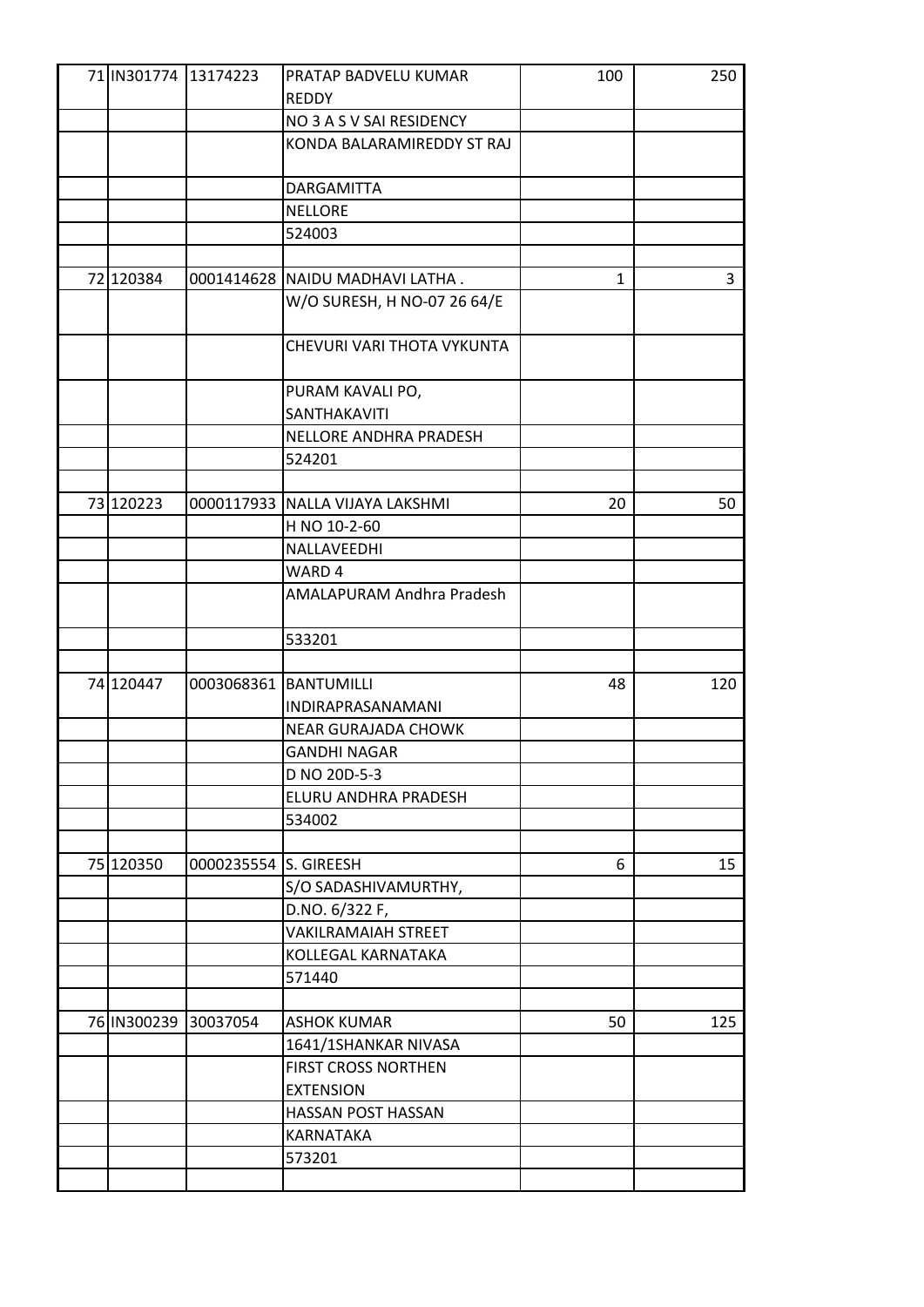| 71 IN301774 13174223 |                       | PRATAP BADVELU KUMAR<br><b>REDDY</b>       | 100 | 250 |
|----------------------|-----------------------|--------------------------------------------|-----|-----|
|                      |                       | NO 3 A S V SAI RESIDENCY                   |     |     |
|                      |                       | KONDA BALARAMIREDDY ST RAJ                 |     |     |
|                      |                       |                                            |     |     |
|                      |                       | <b>DARGAMITTA</b>                          |     |     |
|                      |                       | <b>NELLORE</b>                             |     |     |
|                      |                       | 524003                                     |     |     |
|                      |                       |                                            |     |     |
| 72 120384            |                       | 0001414628 NAIDU MADHAVI LATHA.            | 1   | 3   |
|                      |                       | W/O SURESH, H NO-07 26 64/E                |     |     |
|                      |                       |                                            |     |     |
|                      |                       | CHEVURI VARI THOTA VYKUNTA                 |     |     |
|                      |                       |                                            |     |     |
|                      |                       | PURAM KAVALI PO,                           |     |     |
|                      |                       | SANTHAKAVITI                               |     |     |
|                      |                       | NELLORE ANDHRA PRADESH                     |     |     |
|                      |                       | 524201                                     |     |     |
|                      |                       |                                            |     |     |
| 73 120223            |                       | 0000117933 NALLA VIJAYA LAKSHMI            | 20  | 50  |
|                      |                       | H NO 10-2-60                               |     |     |
|                      |                       | NALLAVEEDHI                                |     |     |
|                      |                       | WARD 4                                     |     |     |
|                      |                       | AMALAPURAM Andhra Pradesh                  |     |     |
|                      |                       |                                            |     |     |
|                      |                       | 533201                                     |     |     |
|                      |                       |                                            |     |     |
| 74 120447            |                       | 0003068361 BANTUMILLI                      | 48  | 120 |
|                      |                       | INDIRAPRASANAMANI                          |     |     |
|                      |                       | <b>NEAR GURAJADA CHOWK</b>                 |     |     |
|                      |                       | <b>GANDHI NAGAR</b>                        |     |     |
|                      |                       | D NO 20D-5-3                               |     |     |
|                      |                       | ELURU ANDHRA PRADESH                       |     |     |
|                      |                       | 534002                                     |     |     |
|                      |                       |                                            |     |     |
| 75 120350            | 0000235554 S. GIREESH |                                            | 6   | 15  |
|                      |                       | S/O SADASHIVAMURTHY,                       |     |     |
|                      |                       | D.NO. 6/322 F,                             |     |     |
|                      |                       | <b>VAKILRAMAIAH STREET</b>                 |     |     |
|                      |                       | KOLLEGAL KARNATAKA                         |     |     |
|                      |                       | 571440                                     |     |     |
|                      |                       |                                            |     |     |
| 76 IN300239 30037054 |                       | <b>ASHOK KUMAR</b><br>1641/1SHANKAR NIVASA | 50  | 125 |
|                      |                       | <b>FIRST CROSS NORTHEN</b>                 |     |     |
|                      |                       | <b>EXTENSION</b>                           |     |     |
|                      |                       |                                            |     |     |
|                      |                       |                                            |     |     |
|                      |                       |                                            |     |     |
|                      |                       |                                            |     |     |
|                      |                       | HASSAN POST HASSAN<br>KARNATAKA<br>573201  |     |     |
|                      |                       |                                            |     |     |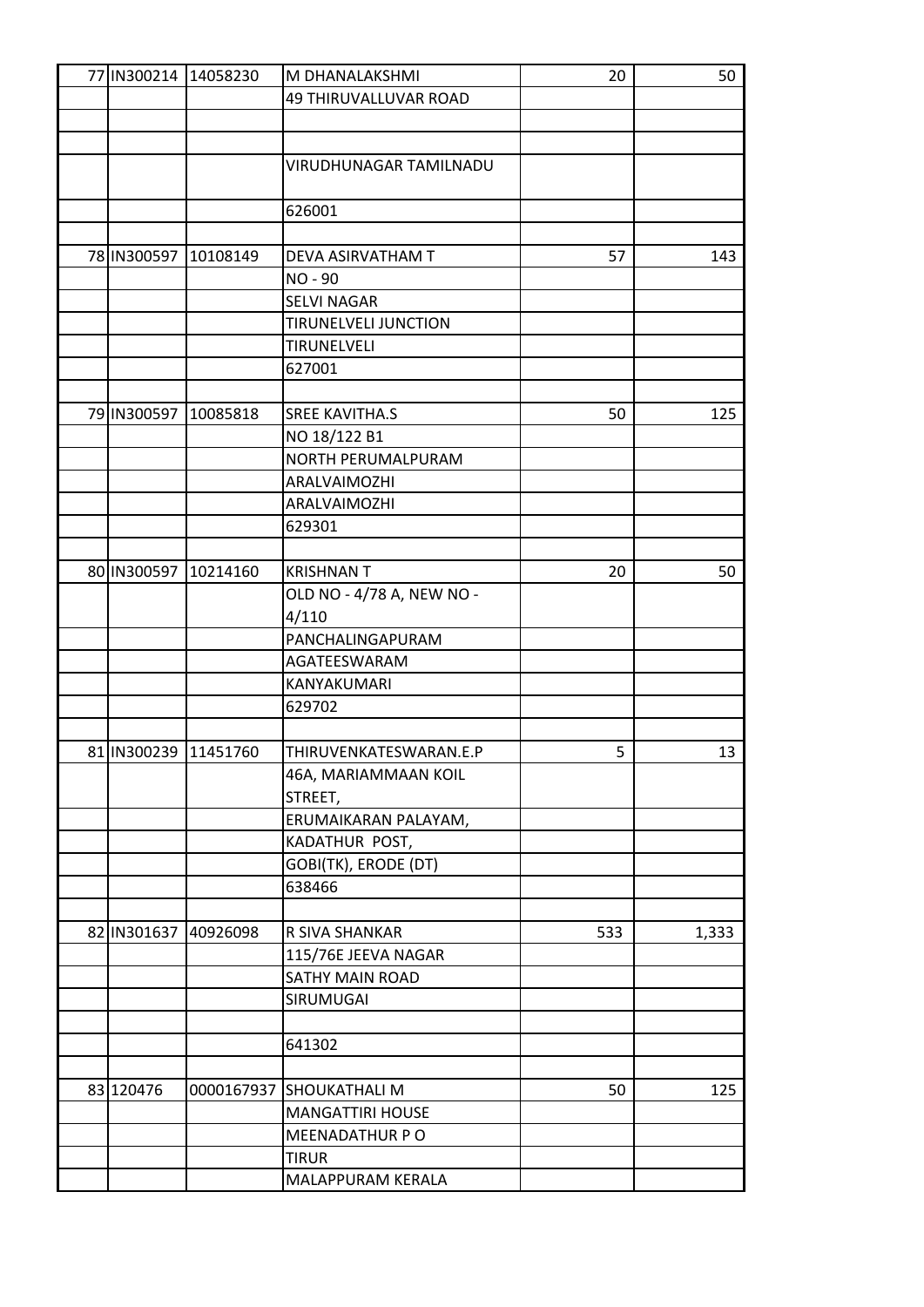| 77 IN300214 14058230 |            | M DHANALAKSHMI               | 20  | 50    |
|----------------------|------------|------------------------------|-----|-------|
|                      |            | <b>49 THIRUVALLUVAR ROAD</b> |     |       |
|                      |            |                              |     |       |
|                      |            |                              |     |       |
|                      |            | VIRUDHUNAGAR TAMILNADU       |     |       |
|                      |            |                              |     |       |
|                      |            | 626001                       |     |       |
|                      |            |                              |     |       |
| 78 IN300597          | 10108149   | DEVA ASIRVATHAM T            | 57  | 143   |
|                      |            | NO-90                        |     |       |
|                      |            | <b>SELVI NAGAR</b>           |     |       |
|                      |            | <b>TIRUNELVELI JUNCTION</b>  |     |       |
|                      |            | TIRUNELVELI                  |     |       |
|                      |            | 627001                       |     |       |
|                      |            |                              |     |       |
| 79 IN300597          | 10085818   | <b>SREE KAVITHA.S</b>        | 50  | 125   |
|                      |            | NO 18/122 B1                 |     |       |
|                      |            | NORTH PERUMALPURAM           |     |       |
|                      |            | ARALVAIMOZHI                 |     |       |
|                      |            | ARALVAIMOZHI                 |     |       |
|                      |            | 629301                       |     |       |
|                      |            |                              |     |       |
| 80 IN300597          | 10214160   | <b>KRISHNAN T</b>            | 20  | 50    |
|                      |            | OLD NO - 4/78 A, NEW NO -    |     |       |
|                      |            | 4/110                        |     |       |
|                      |            | PANCHALINGAPURAM             |     |       |
|                      |            | AGATEESWARAM                 |     |       |
|                      |            | KANYAKUMARI                  |     |       |
|                      |            | 629702                       |     |       |
|                      |            |                              |     |       |
| 81 IN300239 11451760 |            | THIRUVENKATESWARAN.E.P       | 5   | 13    |
|                      |            | 46A, MARIAMMAAN KOIL         |     |       |
|                      |            | STREET,                      |     |       |
|                      |            | ERUMAIKARAN PALAYAM,         |     |       |
|                      |            | KADATHUR POST,               |     |       |
|                      |            | GOBI(TK), ERODE (DT)         |     |       |
|                      |            | 638466                       |     |       |
|                      |            |                              |     |       |
| 82 IN301637          | 40926098   | R SIVA SHANKAR               | 533 | 1,333 |
|                      |            | 115/76E JEEVA NAGAR          |     |       |
|                      |            | SATHY MAIN ROAD              |     |       |
|                      |            | SIRUMUGAI                    |     |       |
|                      |            |                              |     |       |
|                      |            | 641302                       |     |       |
|                      |            |                              |     |       |
| 83 120476            | 0000167937 | <b>SHOUKATHALI M</b>         | 50  | 125   |
|                      |            | <b>MANGATTIRI HOUSE</b>      |     |       |
|                      |            | MEENADATHUR P O              |     |       |
|                      |            | <b>TIRUR</b>                 |     |       |
|                      |            | MALAPPURAM KERALA            |     |       |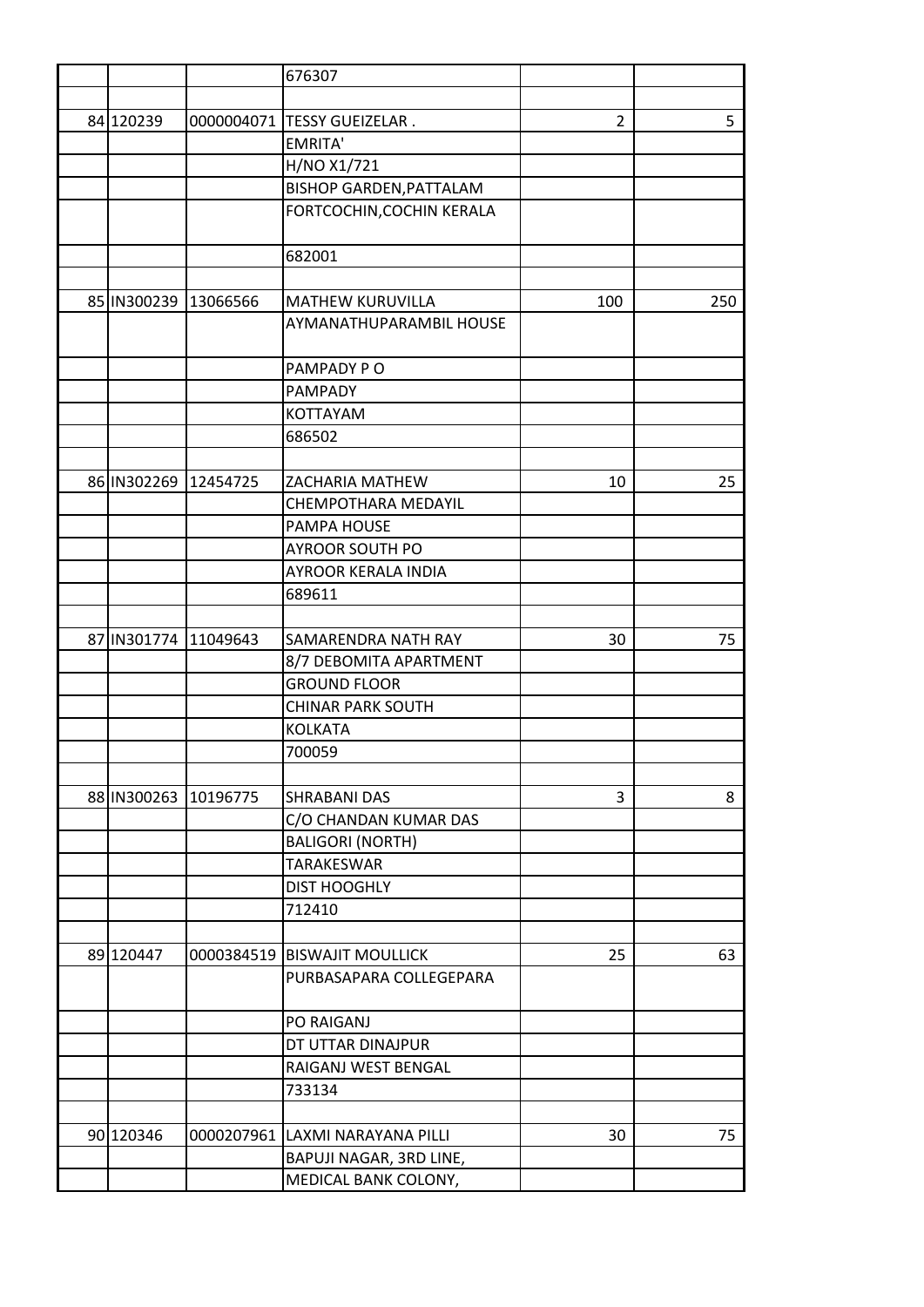|                      |            | 676307                          |                |     |
|----------------------|------------|---------------------------------|----------------|-----|
|                      |            |                                 |                |     |
| 84 120239            |            | 0000004071 TESSY GUEIZELAR.     | $\overline{2}$ | 5   |
|                      |            | <b>EMRITA'</b>                  |                |     |
|                      |            | H/NO X1/721                     |                |     |
|                      |            | <b>BISHOP GARDEN, PATTALAM</b>  |                |     |
|                      |            | FORTCOCHIN, COCHIN KERALA       |                |     |
|                      |            |                                 |                |     |
|                      |            | 682001                          |                |     |
|                      |            |                                 |                |     |
| 85 IN300239 13066566 |            | <b>MATHEW KURUVILLA</b>         | 100            | 250 |
|                      |            | AYMANATHUPARAMBIL HOUSE         |                |     |
|                      |            |                                 |                |     |
|                      |            | PAMPADY PO                      |                |     |
|                      |            | PAMPADY                         |                |     |
|                      |            | <b>KOTTAYAM</b>                 |                |     |
|                      |            | 686502                          |                |     |
|                      |            |                                 |                |     |
| 86 IN302269          | 12454725   | ZACHARIA MATHEW                 | 10             | 25  |
|                      |            | CHEMPOTHARA MEDAYIL             |                |     |
|                      |            | PAMPA HOUSE                     |                |     |
|                      |            | <b>AYROOR SOUTH PO</b>          |                |     |
|                      |            | <b>AYROOR KERALA INDIA</b>      |                |     |
|                      |            | 689611                          |                |     |
|                      |            |                                 |                |     |
| 87 IN301774          | 11049643   | <b>SAMARENDRA NATH RAY</b>      | 30             | 75  |
|                      |            | 8/7 DEBOMITA APARTMENT          |                |     |
|                      |            | <b>GROUND FLOOR</b>             |                |     |
|                      |            | <b>CHINAR PARK SOUTH</b>        |                |     |
|                      |            | <b>KOLKATA</b>                  |                |     |
|                      |            | 700059                          |                |     |
|                      |            |                                 |                |     |
| 88 IN300263          | 10196775   | <b>SHRABANI DAS</b>             | 3              | 8   |
|                      |            | C/O CHANDAN KUMAR DAS           |                |     |
|                      |            | <b>BALIGORI (NORTH)</b>         |                |     |
|                      |            | TARAKESWAR                      |                |     |
|                      |            | <b>DIST HOOGHLY</b>             |                |     |
|                      |            | 712410                          |                |     |
|                      |            |                                 |                |     |
| 89 120447            | 0000384519 | <b>BISWAJIT MOULLICK</b>        | 25             | 63  |
|                      |            | PURBASAPARA COLLEGEPARA         |                |     |
|                      |            |                                 |                |     |
|                      |            | PO RAIGANJ                      |                |     |
|                      |            | DT UTTAR DINAJPUR               |                |     |
|                      |            | RAIGANJ WEST BENGAL             |                |     |
|                      |            | 733134                          |                |     |
|                      |            |                                 |                |     |
| 90 120346            |            | 0000207961 LAXMI NARAYANA PILLI | 30             | 75  |
|                      |            | BAPUJI NAGAR, 3RD LINE,         |                |     |
|                      |            | MEDICAL BANK COLONY,            |                |     |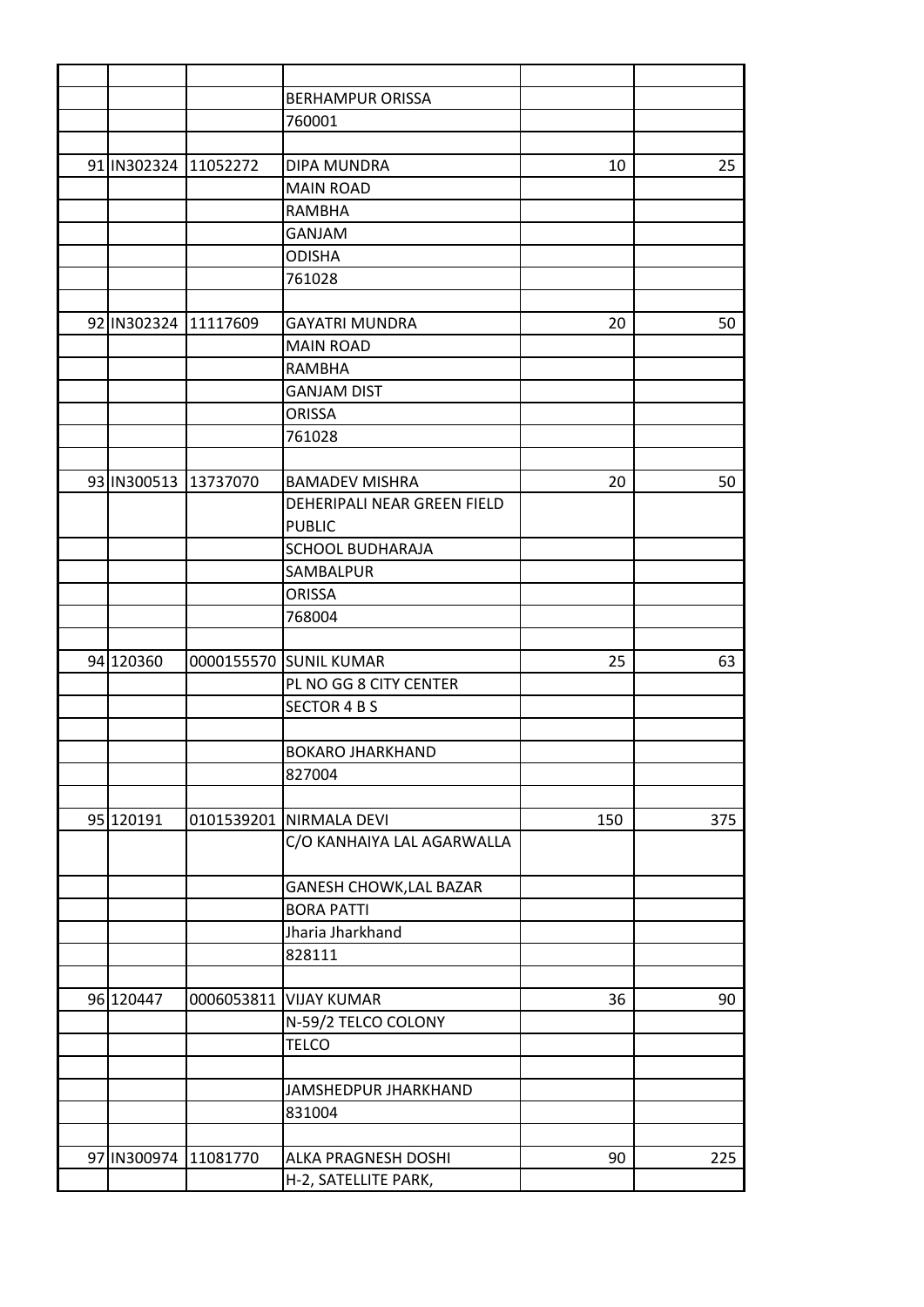|                      | <b>BERHAMPUR ORISSA</b>     |     |     |
|----------------------|-----------------------------|-----|-----|
|                      | 760001                      |     |     |
|                      |                             |     |     |
| 91 IN302324 11052272 | DIPA MUNDRA                 | 10  | 25  |
|                      | <b>MAIN ROAD</b>            |     |     |
|                      | <b>RAMBHA</b>               |     |     |
|                      | <b>GANJAM</b>               |     |     |
|                      | <b>ODISHA</b>               |     |     |
|                      | 761028                      |     |     |
|                      |                             |     |     |
| 92 IN302324 11117609 | <b>GAYATRI MUNDRA</b>       | 20  | 50  |
|                      | <b>MAIN ROAD</b>            |     |     |
|                      | <b>RAMBHA</b>               |     |     |
|                      | <b>GANJAM DIST</b>          |     |     |
|                      | <b>ORISSA</b>               |     |     |
|                      | 761028                      |     |     |
|                      |                             |     |     |
| 93 IN300513 13737070 | <b>BAMADEV MISHRA</b>       | 20  | 50  |
|                      | DEHERIPALI NEAR GREEN FIELD |     |     |
|                      | <b>PUBLIC</b>               |     |     |
|                      | <b>SCHOOL BUDHARAJA</b>     |     |     |
|                      | SAMBALPUR                   |     |     |
|                      | <b>ORISSA</b>               |     |     |
|                      | 768004                      |     |     |
|                      |                             |     |     |
| 94 120360            | 0000155570 SUNIL KUMAR      | 25  | 63  |
|                      | PL NO GG 8 CITY CENTER      |     |     |
|                      | <b>SECTOR 4 B S</b>         |     |     |
|                      |                             |     |     |
|                      |                             |     |     |
|                      | <b>BOKARO JHARKHAND</b>     |     |     |
|                      | 827004                      |     |     |
|                      |                             |     |     |
| 95 120191            | 0101539201 NIRMALA DEVI     | 150 | 375 |
|                      | C/O KANHAIYA LAL AGARWALLA  |     |     |
|                      |                             |     |     |
|                      | GANESH CHOWK, LAL BAZAR     |     |     |
|                      | <b>BORA PATTI</b>           |     |     |
|                      | Jharia Jharkhand            |     |     |
|                      | 828111                      |     |     |
|                      |                             |     |     |
| 96 120447            | 0006053811 VIJAY KUMAR      | 36  | 90  |
|                      | N-59/2 TELCO COLONY         |     |     |
|                      | <b>TELCO</b>                |     |     |
|                      |                             |     |     |
|                      | JAMSHEDPUR JHARKHAND        |     |     |
|                      | 831004                      |     |     |
|                      |                             |     |     |
| 97 IN300974 11081770 | ALKA PRAGNESH DOSHI         | 90  | 225 |
|                      | H-2, SATELLITE PARK,        |     |     |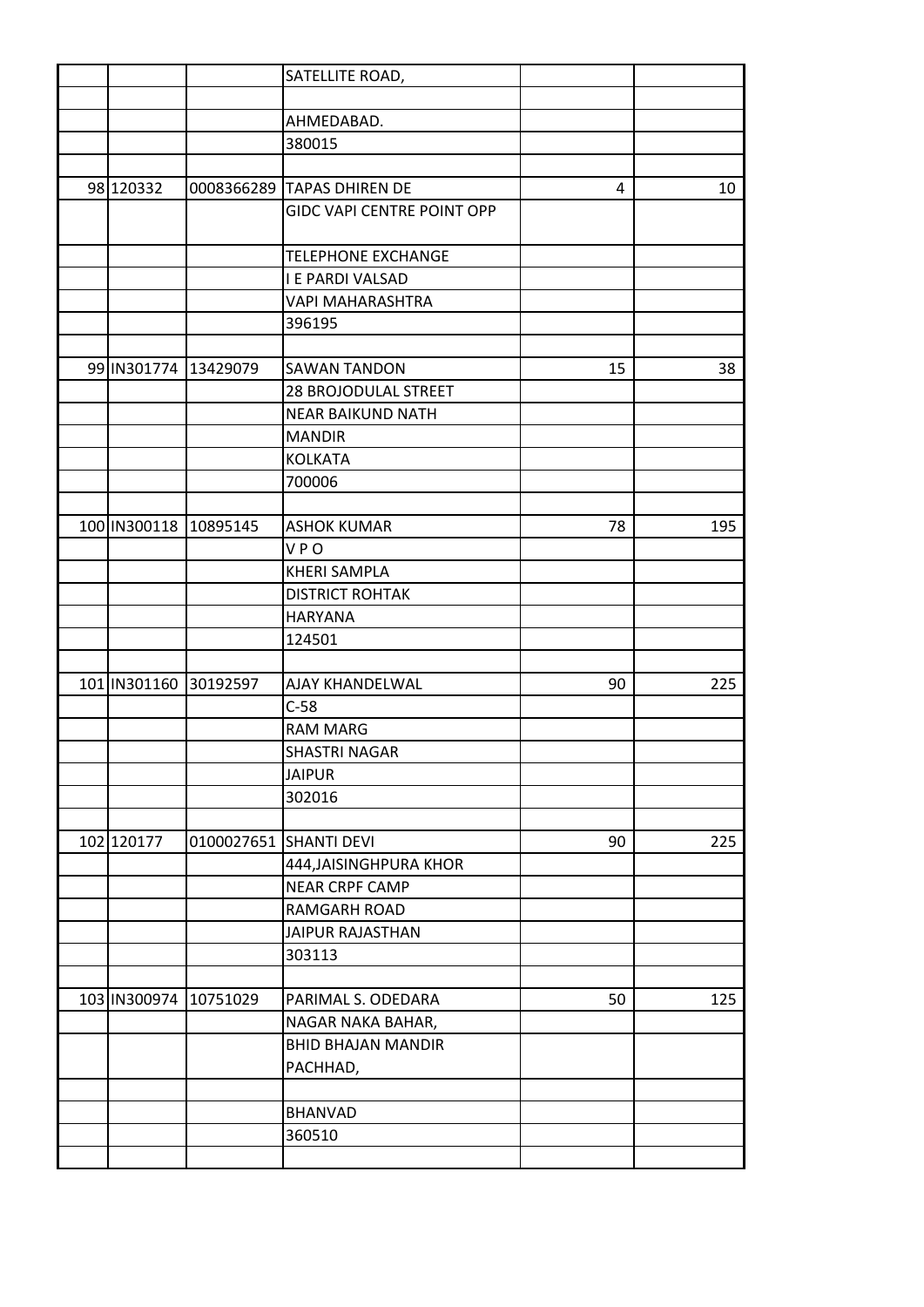|                       | SATELLITE ROAD,                   |    |     |
|-----------------------|-----------------------------------|----|-----|
|                       |                                   |    |     |
|                       | AHMEDABAD.                        |    |     |
|                       | 380015                            |    |     |
|                       |                                   |    |     |
| 98 120332             | 0008366289 TAPAS DHIREN DE        | 4  | 10  |
|                       | <b>GIDC VAPI CENTRE POINT OPP</b> |    |     |
|                       |                                   |    |     |
|                       | <b>TELEPHONE EXCHANGE</b>         |    |     |
|                       | <b>I E PARDI VALSAD</b>           |    |     |
|                       | <b>VAPI MAHARASHTRA</b>           |    |     |
|                       | 396195                            |    |     |
|                       |                                   |    |     |
| 99 IN301774 13429079  | <b>SAWAN TANDON</b>               | 15 | 38  |
|                       | 28 BROJODULAL STREET              |    |     |
|                       | <b>NEAR BAIKUND NATH</b>          |    |     |
|                       | <b>MANDIR</b>                     |    |     |
|                       | <b>KOLKATA</b>                    |    |     |
|                       | 700006                            |    |     |
|                       |                                   |    |     |
| 100 IN300118 10895145 | <b>ASHOK KUMAR</b>                | 78 | 195 |
|                       | <b>VPO</b>                        |    |     |
|                       | <b>KHERI SAMPLA</b>               |    |     |
|                       | <b>DISTRICT ROHTAK</b>            |    |     |
|                       | <b>HARYANA</b>                    |    |     |
|                       | 124501                            |    |     |
|                       |                                   |    |     |
| 101 IN301160 30192597 | <b>AJAY KHANDELWAL</b>            | 90 | 225 |
|                       | $C-58$                            |    |     |
|                       | <b>RAM MARG</b>                   |    |     |
|                       | <b>SHASTRI NAGAR</b>              |    |     |
|                       | <b>JAIPUR</b>                     |    |     |
|                       | 302016                            |    |     |
|                       |                                   |    |     |
| 102 120177            | 0100027651 SHANTI DEVI            | 90 | 225 |
|                       | 444, JAISINGHPURA KHOR            |    |     |
|                       | <b>NEAR CRPF CAMP</b>             |    |     |
|                       | RAMGARH ROAD                      |    |     |
|                       | JAIPUR RAJASTHAN                  |    |     |
|                       | 303113                            |    |     |
|                       |                                   |    |     |
| 103 IN300974 10751029 | PARIMAL S. ODEDARA                | 50 | 125 |
|                       | NAGAR NAKA BAHAR,                 |    |     |
|                       | <b>BHID BHAJAN MANDIR</b>         |    |     |
|                       | PACHHAD,                          |    |     |
|                       |                                   |    |     |
|                       | <b>BHANVAD</b>                    |    |     |
|                       | 360510                            |    |     |
|                       |                                   |    |     |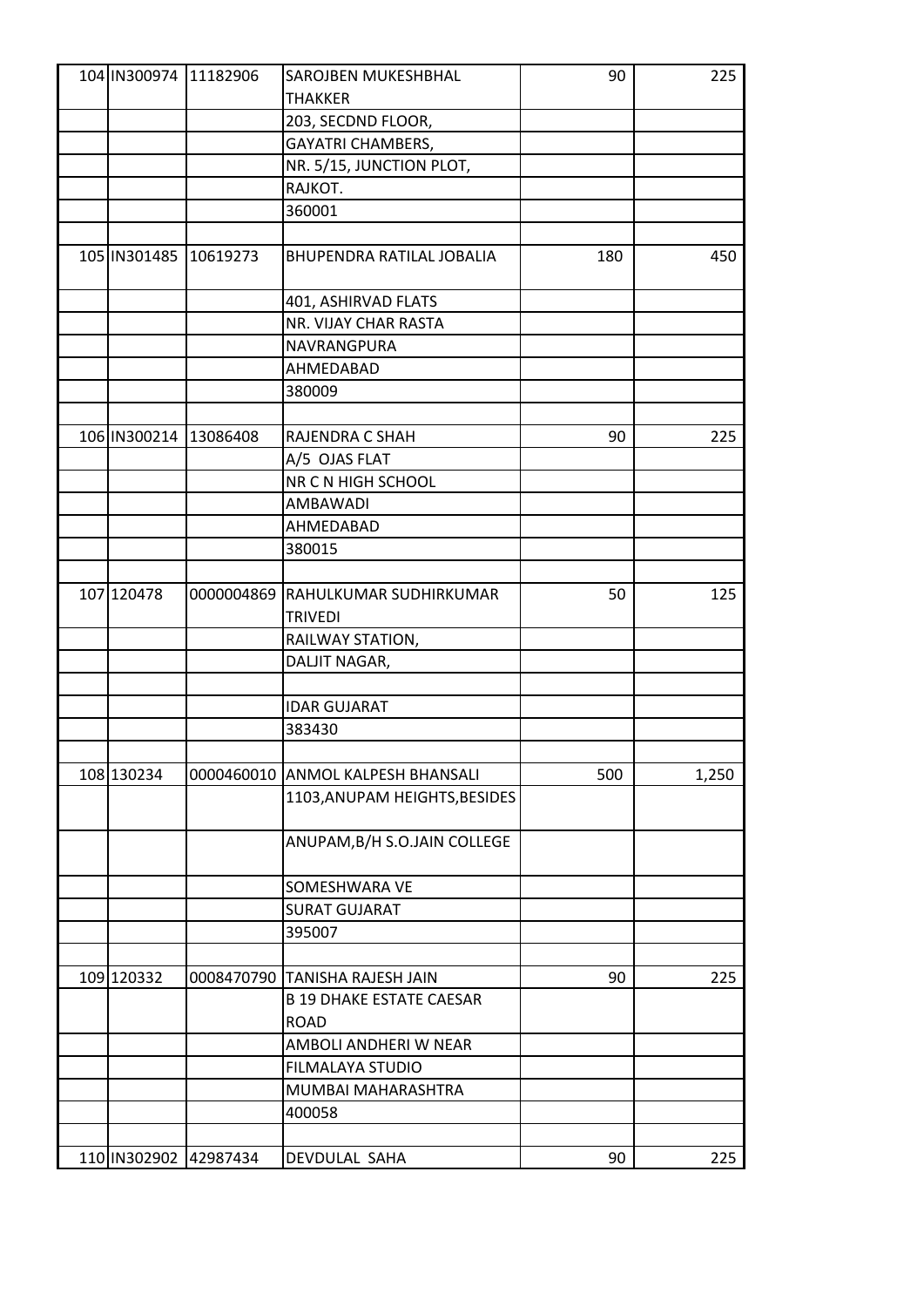|            | 104 IN300974 11182906   | SAROJBEN MUKESHBHAL               | 90  | 225   |
|------------|-------------------------|-----------------------------------|-----|-------|
|            |                         | <b>THAKKER</b>                    |     |       |
|            |                         | 203, SECDND FLOOR,                |     |       |
|            |                         | <b>GAYATRI CHAMBERS,</b>          |     |       |
|            |                         | NR. 5/15, JUNCTION PLOT,          |     |       |
|            |                         | RAJKOT.                           |     |       |
|            |                         | 360001                            |     |       |
|            |                         |                                   |     |       |
|            | 105 IN301485 10619273   | BHUPENDRA RATILAL JOBALIA         | 180 | 450   |
|            |                         | 401, ASHIRVAD FLATS               |     |       |
|            |                         | NR. VIJAY CHAR RASTA              |     |       |
|            |                         | NAVRANGPURA                       |     |       |
|            |                         | AHMEDABAD                         |     |       |
|            |                         | 380009                            |     |       |
|            |                         |                                   |     |       |
|            | 106 IN300214 13086408   | RAJENDRA C SHAH                   | 90  | 225   |
|            |                         | A/5 OJAS FLAT                     |     |       |
|            |                         | NR C N HIGH SCHOOL                |     |       |
|            |                         | AMBAWADI                          |     |       |
|            |                         | AHMEDABAD                         |     |       |
|            |                         | 380015                            |     |       |
|            |                         |                                   |     |       |
| 107 120478 |                         | 0000004869 RAHULKUMAR SUDHIRKUMAR | 50  | 125   |
|            |                         | <b>TRIVEDI</b>                    |     |       |
|            |                         | RAILWAY STATION,                  |     |       |
|            |                         | DALJIT NAGAR,                     |     |       |
|            |                         |                                   |     |       |
|            |                         | <b>IDAR GUJARAT</b>               |     |       |
|            |                         | 383430                            |     |       |
|            |                         |                                   |     |       |
| 108 130234 | 0000460010              | <b>ANMOL KALPESH BHANSALI</b>     | 500 | 1,250 |
|            |                         | 1103, ANUPAM HEIGHTS, BESIDES     |     |       |
|            |                         |                                   |     |       |
|            |                         | ANUPAM, B/H S.O.JAIN COLLEGE      |     |       |
|            |                         | SOMESHWARA VE                     |     |       |
|            |                         | <b>SURAT GUJARAT</b>              |     |       |
|            |                         | 395007                            |     |       |
|            |                         |                                   |     |       |
| 109 120332 |                         | 0008470790 TANISHA RAJESH JAIN    | 90  | 225   |
|            |                         | <b>B 19 DHAKE ESTATE CAESAR</b>   |     |       |
|            |                         | <b>ROAD</b>                       |     |       |
|            |                         | AMBOLI ANDHERI W NEAR             |     |       |
|            |                         | FILMALAYA STUDIO                  |     |       |
|            |                         | MUMBAI MAHARASHTRA                |     |       |
|            |                         | 400058                            |     |       |
|            |                         |                                   |     |       |
|            | 110   IN302902 42987434 | DEVDULAL SAHA                     | 90  | 225   |
|            |                         |                                   |     |       |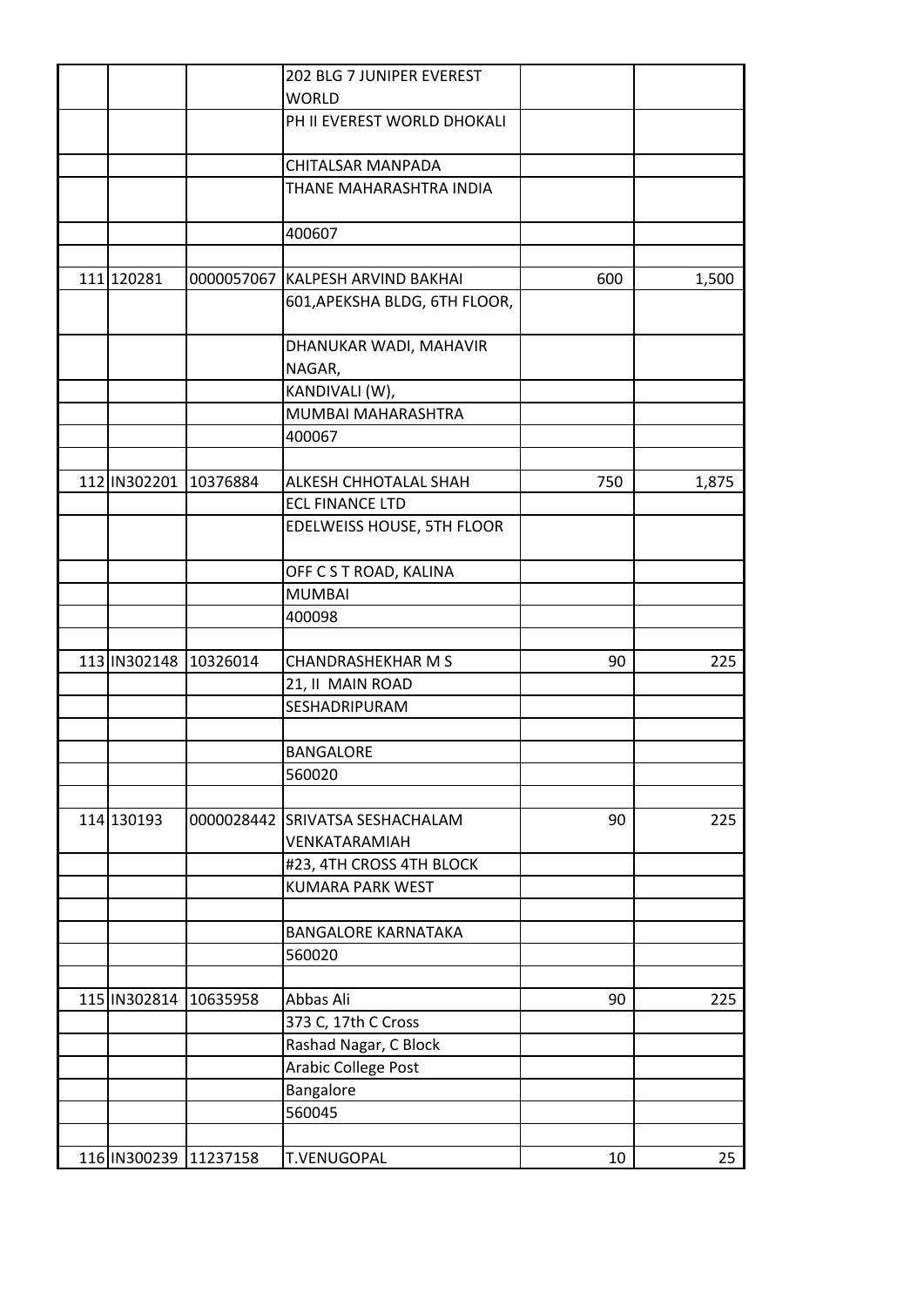|              |                           | 202 BLG 7 JUNIPER EVEREST        |     |       |
|--------------|---------------------------|----------------------------------|-----|-------|
|              |                           | <b>WORLD</b>                     |     |       |
|              |                           | PH II EVEREST WORLD DHOKALI      |     |       |
|              |                           |                                  |     |       |
|              |                           | CHITALSAR MANPADA                |     |       |
|              |                           | THANE MAHARASHTRA INDIA          |     |       |
|              |                           | 400607                           |     |       |
|              |                           |                                  |     |       |
| 111 120281   |                           | 0000057067 KALPESH ARVIND BAKHAI | 600 | 1,500 |
|              |                           | 601, APEKSHA BLDG, 6TH FLOOR,    |     |       |
|              |                           |                                  |     |       |
|              |                           | DHANUKAR WADI, MAHAVIR           |     |       |
|              |                           | NAGAR,                           |     |       |
|              |                           | KANDIVALI (W),                   |     |       |
|              |                           | MUMBAI MAHARASHTRA               |     |       |
|              |                           | 400067                           |     |       |
|              |                           |                                  |     |       |
|              | 112   IN302201   10376884 | ALKESH CHHOTALAL SHAH            | 750 | 1,875 |
|              |                           | <b>ECL FINANCE LTD</b>           |     |       |
|              |                           | EDELWEISS HOUSE, 5TH FLOOR       |     |       |
|              |                           | OFF C S T ROAD, KALINA           |     |       |
|              |                           | <b>MUMBAI</b>                    |     |       |
|              |                           | 400098                           |     |       |
|              |                           |                                  |     |       |
| 113 IN302148 | 10326014                  | <b>CHANDRASHEKHAR M S</b>        | 90  | 225   |
|              |                           | 21, II MAIN ROAD                 |     |       |
|              |                           | SESHADRIPURAM                    |     |       |
|              |                           |                                  |     |       |
|              |                           | <b>BANGALORE</b>                 |     |       |
|              |                           | 560020                           |     |       |
|              |                           |                                  |     |       |
| 114 130193   |                           | 0000028442 SRIVATSA SESHACHALAM  | 90  | 225   |
|              |                           | VENKATARAMIAH                    |     |       |
|              |                           | #23, 4TH CROSS 4TH BLOCK         |     |       |
|              |                           | <b>KUMARA PARK WEST</b>          |     |       |
|              |                           |                                  |     |       |
|              |                           | <b>BANGALORE KARNATAKA</b>       |     |       |
|              |                           | 560020                           |     |       |
|              |                           |                                  |     |       |
|              | 115 IN302814 10635958     | Abbas Ali                        | 90  | 225   |
|              |                           | 373 C, 17th C Cross              |     |       |
|              |                           | Rashad Nagar, C Block            |     |       |
|              |                           | Arabic College Post              |     |       |
|              |                           | Bangalore                        |     |       |
|              |                           | 560045                           |     |       |
|              |                           |                                  |     |       |
|              | 116 IN300239 11237158     | T.VENUGOPAL                      | 10  | 25    |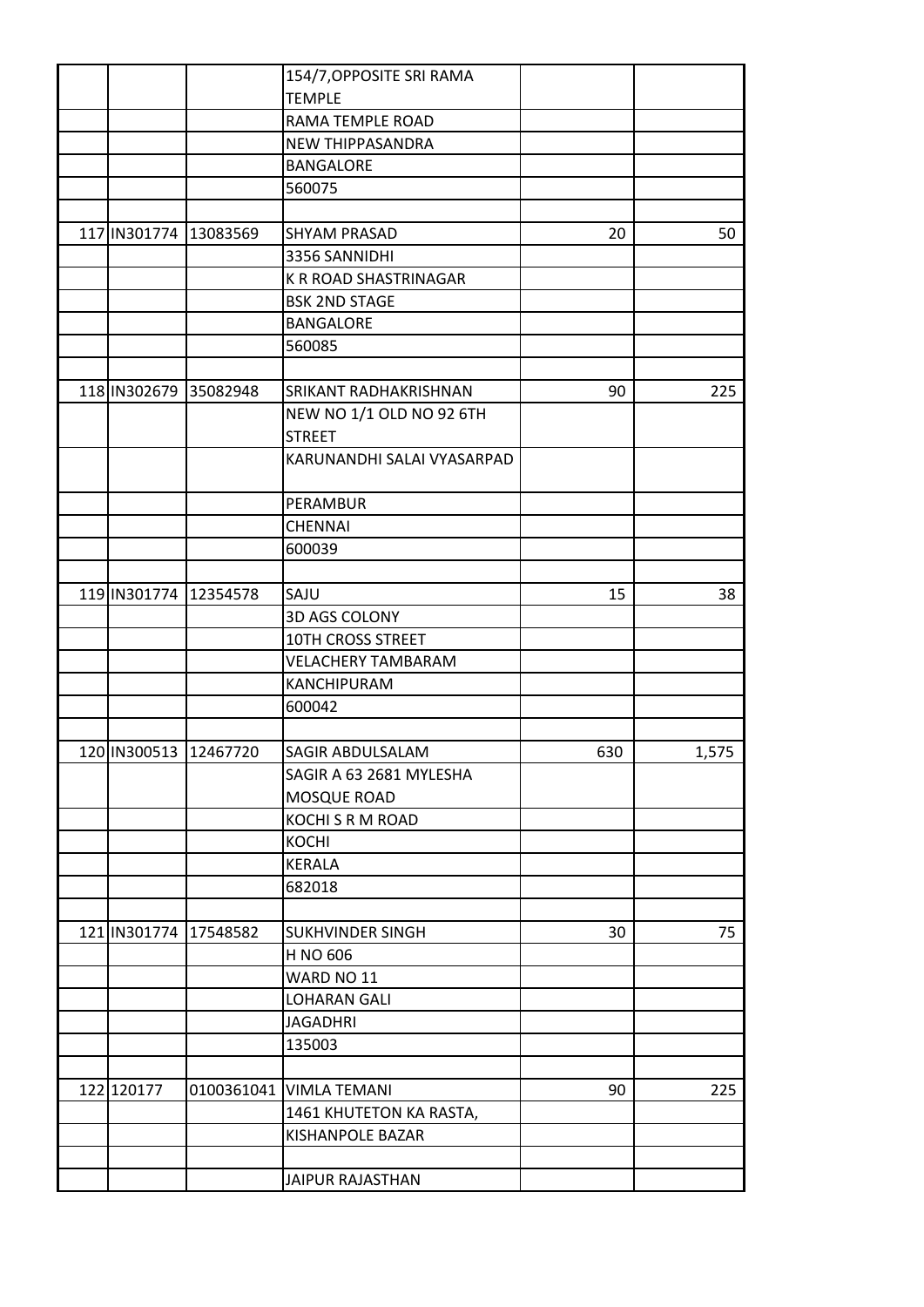|                       |                       | 154/7, OPPOSITE SRI RAMA   |     |       |
|-----------------------|-----------------------|----------------------------|-----|-------|
|                       |                       | <b>TEMPLE</b>              |     |       |
|                       |                       | RAMA TEMPLE ROAD           |     |       |
|                       |                       | NEW THIPPASANDRA           |     |       |
|                       |                       | BANGALORE                  |     |       |
|                       |                       | 560075                     |     |       |
|                       |                       |                            |     |       |
|                       | 117 IN301774 13083569 | <b>SHYAM PRASAD</b>        | 20  | 50    |
|                       |                       | 3356 SANNIDHI              |     |       |
|                       |                       | K R ROAD SHASTRINAGAR      |     |       |
|                       |                       | <b>BSK 2ND STAGE</b>       |     |       |
|                       |                       | <b>BANGALORE</b>           |     |       |
|                       |                       | 560085                     |     |       |
|                       |                       |                            |     |       |
|                       | 118 IN302679 35082948 | SRIKANT RADHAKRISHNAN      | 90  | 225   |
|                       |                       | NEW NO 1/1 OLD NO 92 6TH   |     |       |
|                       |                       | <b>STREET</b>              |     |       |
|                       |                       | KARUNANDHI SALAI VYASARPAD |     |       |
|                       |                       |                            |     |       |
|                       |                       | PERAMBUR                   |     |       |
|                       |                       | <b>CHENNAI</b>             |     |       |
|                       |                       | 600039                     |     |       |
|                       |                       |                            |     |       |
| 119 IN301774 12354578 |                       | SAJU                       | 15  | 38    |
|                       |                       | 3D AGS COLONY              |     |       |
|                       |                       | <b>10TH CROSS STREET</b>   |     |       |
|                       |                       | <b>VELACHERY TAMBARAM</b>  |     |       |
|                       |                       | KANCHIPURAM                |     |       |
|                       |                       | 600042                     |     |       |
|                       |                       |                            |     |       |
| 120 IN300513 12467720 |                       | SAGIR ABDULSALAM           | 630 | 1,575 |
|                       |                       | SAGIR A 63 2681 MYLESHA    |     |       |
|                       |                       | MOSQUE ROAD                |     |       |
|                       |                       | KOCHI S R M ROAD           |     |       |
|                       |                       | <b>KOCHI</b>               |     |       |
|                       |                       | <b>KERALA</b>              |     |       |
|                       |                       | 682018                     |     |       |
|                       |                       |                            |     |       |
| 121 IN301774 17548582 |                       | SUKHVINDER SINGH           | 30  | 75    |
|                       |                       | H NO 606                   |     |       |
|                       |                       | WARD NO 11                 |     |       |
|                       |                       | <b>LOHARAN GALI</b>        |     |       |
|                       |                       | <b>JAGADHRI</b>            |     |       |
|                       |                       | 135003                     |     |       |
|                       |                       |                            |     |       |
| 122 120177            |                       | 0100361041 VIMLA TEMANI    | 90  | 225   |
|                       |                       | 1461 KHUTETON KA RASTA,    |     |       |
|                       |                       | KISHANPOLE BAZAR           |     |       |
|                       |                       |                            |     |       |
|                       |                       | JAIPUR RAJASTHAN           |     |       |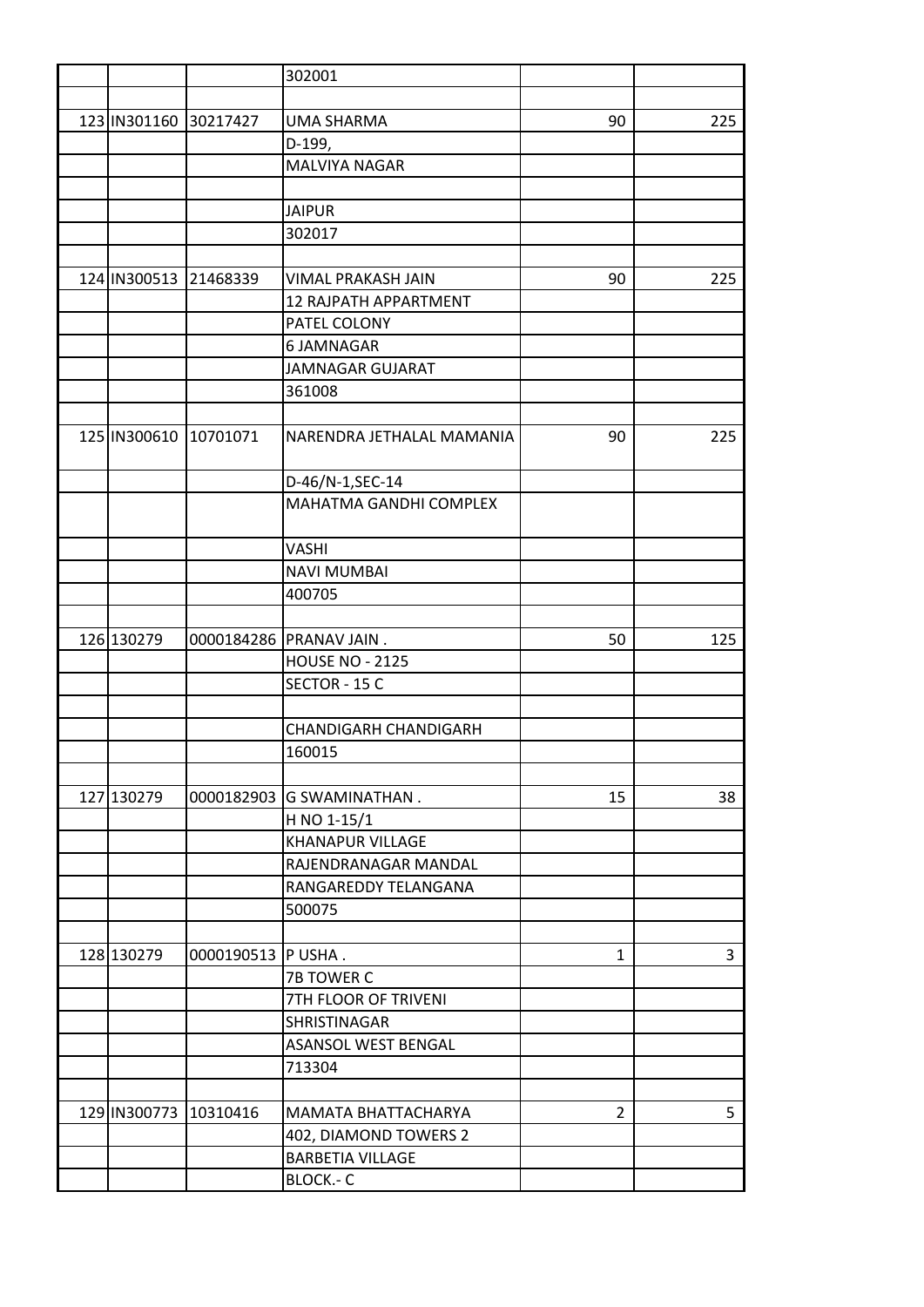|              |                           | 302001                       |                |     |
|--------------|---------------------------|------------------------------|----------------|-----|
|              |                           |                              |                |     |
| 123 IN301160 | 30217427                  | UMA SHARMA                   | 90             | 225 |
|              |                           | D-199,                       |                |     |
|              |                           | <b>MALVIYA NAGAR</b>         |                |     |
|              |                           |                              |                |     |
|              |                           | <b>JAIPUR</b>                |                |     |
|              |                           | 302017                       |                |     |
|              |                           |                              |                |     |
|              | 124 IN300513 21468339     | VIMAL PRAKASH JAIN           | 90             | 225 |
|              |                           | 12 RAJPATH APPARTMENT        |                |     |
|              |                           | PATEL COLONY                 |                |     |
|              |                           | 6 JAMNAGAR                   |                |     |
|              |                           | <b>JAMNAGAR GUJARAT</b>      |                |     |
|              |                           | 361008                       |                |     |
|              |                           |                              |                |     |
|              | 125   IN300610   10701071 | NARENDRA JETHALAL MAMANIA    | 90             | 225 |
|              |                           |                              |                |     |
|              |                           | D-46/N-1, SEC-14             |                |     |
|              |                           | MAHATMA GANDHI COMPLEX       |                |     |
|              |                           |                              |                |     |
|              |                           | <b>VASHI</b>                 |                |     |
|              |                           | <b>NAVI MUMBAI</b>           |                |     |
|              |                           | 400705                       |                |     |
|              |                           |                              |                |     |
| 126 130279   |                           | 0000184286 PRANAV JAIN.      | 50             | 125 |
|              |                           | <b>HOUSE NO - 2125</b>       |                |     |
|              |                           | SECTOR - 15 C                |                |     |
|              |                           |                              |                |     |
|              |                           | <b>CHANDIGARH CHANDIGARH</b> |                |     |
|              |                           | 160015                       |                |     |
|              |                           |                              |                |     |
| 127 130279   | 0000182903                | <b>G SWAMINATHAN.</b>        | 15             | 38  |
|              |                           | H NO 1-15/1                  |                |     |
|              |                           | <b>KHANAPUR VILLAGE</b>      |                |     |
|              |                           | RAJENDRANAGAR MANDAL         |                |     |
|              |                           | RANGAREDDY TELANGANA         |                |     |
|              |                           | 500075                       |                |     |
|              |                           |                              |                |     |
| 128 130279   | 0000190513                | P USHA.                      | $\mathbf{1}$   | 3   |
|              |                           | 7B TOWER C                   |                |     |
|              |                           | 7TH FLOOR OF TRIVENI         |                |     |
|              |                           | SHRISTINAGAR                 |                |     |
|              |                           | <b>ASANSOL WEST BENGAL</b>   |                |     |
|              |                           | 713304                       |                |     |
|              |                           |                              |                |     |
|              | 129 IN300773 10310416     | MAMATA BHATTACHARYA          | $\overline{2}$ | 5   |
|              |                           | 402, DIAMOND TOWERS 2        |                |     |
|              |                           | <b>BARBETIA VILLAGE</b>      |                |     |
|              |                           | BLOCK .- C                   |                |     |